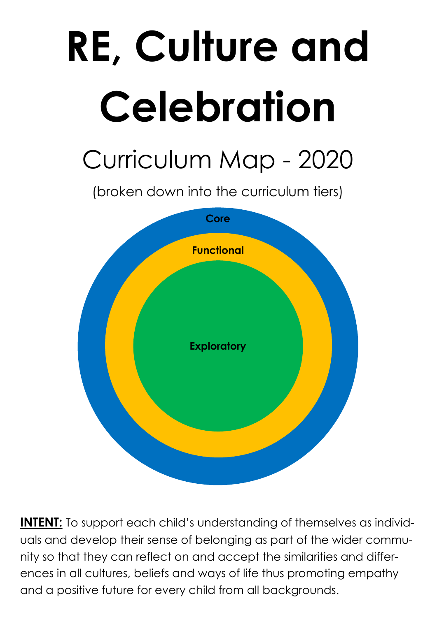## **RE, Culture and Celebration** Curriculum Map - 2020 (broken down into the curriculum tiers) **Functional Functional Core**





**INTENT:** To support each child's understanding of themselves as individuals and develop their sense of belonging as part of the wider community so that they can reflect on and accept the similarities and differences in all cultures, beliefs and ways of life thus promoting empathy and a positive future for every child from all backgrounds.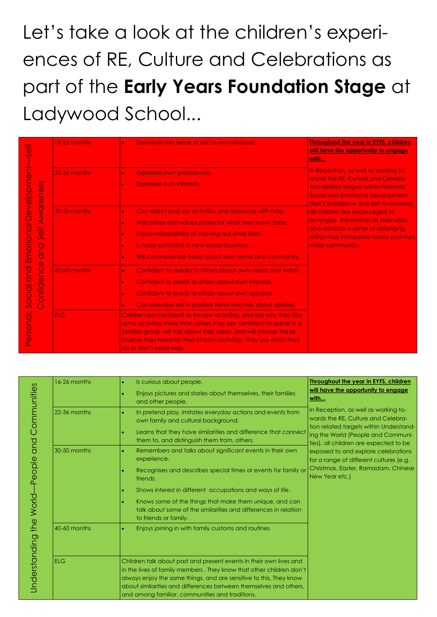## Let's take a look at the children's experiences of RE, Culture and Celebrations as part of the **Early Years Foundation Stage** at Ladywood School...

|                                | 16-26 months | Is curious about people.                                                                                                                                                                                                                                                                                                                | <b>Throughout the year in EYFS, children</b>                                                                          |
|--------------------------------|--------------|-----------------------------------------------------------------------------------------------------------------------------------------------------------------------------------------------------------------------------------------------------------------------------------------------------------------------------------------|-----------------------------------------------------------------------------------------------------------------------|
| Communities<br>and<br>-People  |              | Enjoys pictures and stories about themselves, their families<br>and other people.                                                                                                                                                                                                                                                       | will have the opportunity to engage<br>with                                                                           |
|                                | 22-36 months | In pretend play, imitates everyday actions and events from<br>own family and cultural background.                                                                                                                                                                                                                                       | In Reception, as well as working to-<br>wards the RE, Culture and Celebra-<br>tion related targets within Understand- |
|                                |              | Learns that they have similarities and difference that connect<br>them to, and distinguish them from, others.                                                                                                                                                                                                                           | ing the World (People and Communi-<br>ties), all children are expected to be                                          |
|                                | 30-50 months | Remembers and talks about significant events in their own<br>experience.                                                                                                                                                                                                                                                                | exposed to and explore celebrations<br>for a range of different cultures (e.g.                                        |
|                                |              | Recognises and describes special times or events for family or<br>friends.                                                                                                                                                                                                                                                              | Christmas, Easter, Ramadam, Chinese<br>New Year etc.)                                                                 |
|                                |              | Shows interest in different occupations and ways of life.                                                                                                                                                                                                                                                                               |                                                                                                                       |
| World-<br>the<br>Understanding |              | Knows some of the things that make them unique, and can<br>talk about some of the similarities and differences in relation<br>to friends or family.                                                                                                                                                                                     |                                                                                                                       |
|                                | 40-60 months | Enjoys joining in with family customs and routines                                                                                                                                                                                                                                                                                      |                                                                                                                       |
|                                | <b>ELG</b>   | Children talk about past and present events in their own lives and<br>in the lives of family members. They know that other children don't<br>always enjoy the same things, and are sensitive to this. They know<br>about similarities and differences between themselves and others,<br>and among familiar, communities and traditions. |                                                                                                                       |

| 5<br>$\mathcal{L}$                                                                                                                                                                                  | 16-26 months | Demonstrates sense of self as an individual.                                                                                                                                                                                                                                                                       | <b>Throughout the year in EYFS, children</b><br>will have the opportunity to engage                                                                                                                              |
|-----------------------------------------------------------------------------------------------------------------------------------------------------------------------------------------------------|--------------|--------------------------------------------------------------------------------------------------------------------------------------------------------------------------------------------------------------------------------------------------------------------------------------------------------------------|------------------------------------------------------------------------------------------------------------------------------------------------------------------------------------------------------------------|
| Development                                                                                                                                                                                         | 22-36 months | Expresses own preferences.<br>Expresses own interests.                                                                                                                                                                                                                                                             | <u>with</u><br>In Reception, as well as working to-<br>wards the RE, Culture and Celebra-<br>tion related targets within Personal,<br><b>Social and Emotional Development</b>                                    |
| Awareness<br>Emotional<br>$\frac{1}{\sigma}$<br>$\mathcal{O}$<br><b>DUD</b><br>$\ddot{\text{o}}$<br>Dup<br>$\overline{C}$<br>$\overline{\Phi}$<br>onfid<br>Social<br>$\left( \ \right)$<br>Personal | 30-50 months | Can select and use activities and resources with help.<br>Welcomes and values praise for what they have done.<br>$\bullet$<br>Enjoys responsibility of carrying out small tasks.<br>$\bullet$<br>Is more confident in new social situations.<br>Will communicate freely about own home and community.<br>$\bullet$ | (Self Confidence and Self Awareness),<br>all children are encouraged to<br>recongise themselves as indivudals<br>and develop a sense of belonging<br>within their immediate family and their<br>wider community. |
|                                                                                                                                                                                                     | 40-60 months | Confident to speaks to others about own needs and wants.<br>Confident to speak to others about own interests.<br>$\bullet$<br>Confident to speak to others about own opinions.<br>$\bullet$<br>Can describe self in positive terms and talk about abilities.<br>$\bullet$                                          |                                                                                                                                                                                                                  |
|                                                                                                                                                                                                     | <b>ELG</b>   | Children are confident to try new activities, and say why they llike<br>some activities more than others. They are confident to speak in a<br>familiar group, will talk about their ideas, and will choose the re-<br>sources they need for their chosen activities. They say when they<br>do or don't need help.  |                                                                                                                                                                                                                  |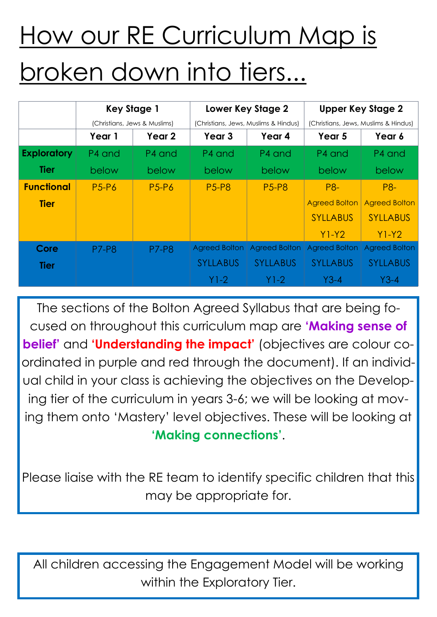|                    | <b>Key Stage 1</b>           |              | Lower Key Stage 2                    |                      | <b>Upper Key Stage 2</b>             |                      |
|--------------------|------------------------------|--------------|--------------------------------------|----------------------|--------------------------------------|----------------------|
|                    | (Christians, Jews & Muslims) |              | (Christians, Jews, Muslims & Hindus) |                      | (Christians, Jews, Muslims & Hindus) |                      |
|                    | Year 1                       | Year 2       | Year 3                               | Year 4               | Year 5                               | Year 6               |
| <b>Exploratory</b> | P4 and                       | P4 and       | P4 and                               | P4 and               | P4 and                               | P4 and               |
| <b>Tier</b>        | below                        | below        | below                                | below                | below                                | below                |
| <b>Functional</b>  | <b>P5-P6</b>                 | <b>P5-P6</b> | <b>P5-P8</b>                         | <b>P5-P8</b>         | <b>P8-</b>                           | <b>P8-</b>           |
| <b>Tier</b>        |                              |              |                                      |                      | <b>Agreed Bolton</b>                 | <b>Agreed Bolton</b> |
|                    |                              |              |                                      |                      | <b>SYLLABUS</b>                      | <b>SYLLABUS</b>      |
|                    |                              |              |                                      |                      | $Y1-Y2$                              | $Y1-Y2$              |
| Core               | <b>P7-P8</b>                 | <b>P7-P8</b> | <b>Agreed Bolton</b>                 | <b>Agreed Bolton</b> | <b>Agreed Bolton</b>                 | <b>Agreed Bolton</b> |
| <b>Tier</b>        |                              |              | <b>SYLLABUS</b>                      | <b>SYLLABUS</b>      | <b>SYLLABUS</b>                      | <b>SYLLABUS</b>      |
|                    |                              |              | Y1-2.                                | Y1-2                 | $Y3-4$                               | Y3-4                 |

## How our RE Curriculum Map is broken down into tiers...

All children accessing the Engagement Model will be working within the Exploratory Tier.

The sections of the Bolton Agreed Syllabus that are being focused on throughout this curriculum map are **'Making sense of belief'** and **'Understanding the impact'** (objectives are colour coordinated in purple and red through the document). If an individual child in your class is achieving the objectives on the Developing tier of the curriculum in years 3-6; we will be looking at moving them onto 'Mastery' level objectives. These will be looking at **'Making connections'**.

## Please liaise with the RE team to identify specific children that this may be appropriate for.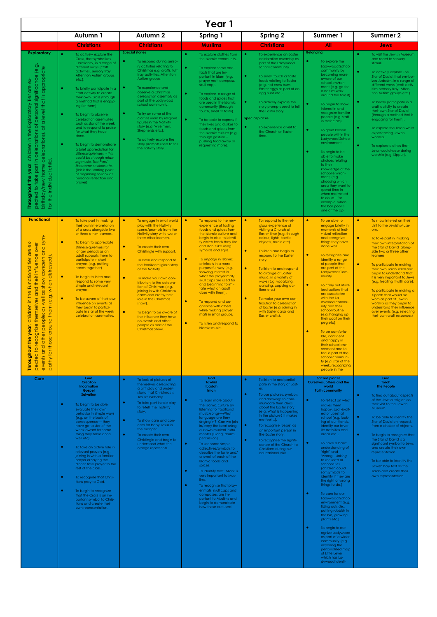| Year 1                                                                                                                                                                                                                                                                                                                                                                                                               |                                                                                                                                                                                                                                                                                                                                                                                                                                                                                                                                                                                                                                                                                                                                                                                                        |                                                                                                                                                                                                                                                                                                                                                                                                                                                                                                                                                                                                                                 |                                                                                                                                                                                                                                                                                                                                                                                                                                                                                                                                                                                                                                                                                            |                                                                                                                                                                                                                                                                                                                                                                                                                                                                                                                                                       |                                                                                                                                                                                                                                                                                                                                                                                                                                                                                                                                                                                                                                                                                                                                                                                                                                                                      |                                                                                                                                                                                                                                                                                                                                                                                                                                                                                                                                                                                                                |  |
|----------------------------------------------------------------------------------------------------------------------------------------------------------------------------------------------------------------------------------------------------------------------------------------------------------------------------------------------------------------------------------------------------------------------|--------------------------------------------------------------------------------------------------------------------------------------------------------------------------------------------------------------------------------------------------------------------------------------------------------------------------------------------------------------------------------------------------------------------------------------------------------------------------------------------------------------------------------------------------------------------------------------------------------------------------------------------------------------------------------------------------------------------------------------------------------------------------------------------------------|---------------------------------------------------------------------------------------------------------------------------------------------------------------------------------------------------------------------------------------------------------------------------------------------------------------------------------------------------------------------------------------------------------------------------------------------------------------------------------------------------------------------------------------------------------------------------------------------------------------------------------|--------------------------------------------------------------------------------------------------------------------------------------------------------------------------------------------------------------------------------------------------------------------------------------------------------------------------------------------------------------------------------------------------------------------------------------------------------------------------------------------------------------------------------------------------------------------------------------------------------------------------------------------------------------------------------------------|-------------------------------------------------------------------------------------------------------------------------------------------------------------------------------------------------------------------------------------------------------------------------------------------------------------------------------------------------------------------------------------------------------------------------------------------------------------------------------------------------------------------------------------------------------|----------------------------------------------------------------------------------------------------------------------------------------------------------------------------------------------------------------------------------------------------------------------------------------------------------------------------------------------------------------------------------------------------------------------------------------------------------------------------------------------------------------------------------------------------------------------------------------------------------------------------------------------------------------------------------------------------------------------------------------------------------------------------------------------------------------------------------------------------------------------|----------------------------------------------------------------------------------------------------------------------------------------------------------------------------------------------------------------------------------------------------------------------------------------------------------------------------------------------------------------------------------------------------------------------------------------------------------------------------------------------------------------------------------------------------------------------------------------------------------------|--|
|                                                                                                                                                                                                                                                                                                                                                                                                                      | Autumn 1                                                                                                                                                                                                                                                                                                                                                                                                                                                                                                                                                                                                                                                                                                                                                                                               | <b>Autumn 2</b>                                                                                                                                                                                                                                                                                                                                                                                                                                                                                                                                                                                                                 | Spring 1                                                                                                                                                                                                                                                                                                                                                                                                                                                                                                                                                                                                                                                                                   | <b>Spring 2</b>                                                                                                                                                                                                                                                                                                                                                                                                                                                                                                                                       | Summer 1                                                                                                                                                                                                                                                                                                                                                                                                                                                                                                                                                                                                                                                                                                                                                                                                                                                             | Summer 2                                                                                                                                                                                                                                                                                                                                                                                                                                                                                                                                                                                                       |  |
| <b>Exploratory</b><br>(e.g.<br>celebrations), at a level that is appropriate<br>of personal significance<br>$\delta$<br>alp<br>Tier<br>Exploratory<br>pected to take part in celebrations<br>the<br>children in<br>individual child.<br>the year<br>birthday/new home<br>Throughout<br>for the i                                                                                                                     | <b>Christians</b><br>$\bullet$<br>To actively explore the<br>Cross, that symbolizes<br>Christianity, in a range of<br>different ways (craft<br>activities, sensory tray,<br>Attention Autism groups<br>$etc.$ ).<br>$\bullet$<br>To briefly participate in a<br>craft activity to create<br>their own Cross (through<br>a method that is engag-<br>ing for them).<br>$\bullet$<br>To begin to observe<br>celebration assemblies<br>such as star of the week<br>and to respond to praise<br>for what they have<br>done.<br>$\bullet$<br>To begin to demonstrate<br>a brief appreciation for<br>stillness/quietness - this<br>could be through relax-<br>ing music, Tac Pac/<br>Sherborne sessions etc.<br>(This is the starting point<br>of beginning to look at<br>personal reflection and<br>prayer). | <b>Christians</b><br><b>Special stories</b><br>To respond during senso-<br>ry activities relating to<br>Christmas e.a. crafts, tuff<br>tray activities, Attention<br>Autism groups.<br>$\bullet$<br>To experience and<br>observe a Christmas<br>celebration assembly as<br>part of the Ladywood<br>school community.<br>$\bullet$<br>To try on some of the<br>clothes worn by religious<br>figures in the Nativity<br>story (e.g. Wise men,<br>Shepherds etc.).<br>$\bullet$<br>To actively explore the<br>story prompts used to tell<br>the nativity story.                                                                    | <b>Muslims</b><br>$\bullet$<br>To explore clothes from<br>the Islamic community.<br>To explore some arte-<br>facts that are im-<br>portant in Islam (e.g.<br>prayer mat, compass,<br>skull cap).<br>$\bullet$<br>To explore a range of<br>foods and spices that<br>are used in the Islamic<br>community (through<br>touch, smell or taste).<br>$\bullet$<br>To be able to express if<br>their likes and dislikes to<br>foods and spices from<br>the Islamic culture (e.g.<br>through gesture $-$<br>pushing food away or<br>requesting more).                                                                                                                                              | <b>Christians</b><br>$\bullet$<br>To experience an Easter<br>celebration assembly as<br>part of the Ladywood<br>school community.<br>$\bullet$<br>To smell, touch or taste<br>foods relating to Easter<br>(e.g. hot cross buns,<br>Easter eggs as part of an<br>egg hunt etc.)<br>$\bullet$<br>To actively explore the<br>story prompts used to tell<br>the Easter story.<br><b>Special places</b><br>To experience a visit to<br>the Church at Easter<br>time.                                                                                       | All<br><b>Belonging</b><br>$\bullet$<br>To explore the<br>Ladywood School<br>community by<br>becoming more<br>aware of our<br>school environ-<br>ment (e.g. go for<br>a nature walk<br>around the forest)<br>$\bullet$<br>To begin to show<br>interest in and<br>recognize familiar<br>people (e.g. staff<br>in their class).<br>$\bullet$<br>To greet known<br>people within the<br>Ladywood School<br>environment.<br>$\bullet$<br>To begin to be<br>able to make<br>choices relating<br>to their<br>knowledge of the<br>school environ-<br>ment, (e.g.<br>choosing which<br>area they want to<br>spend time in<br>when motivated<br>to do so-for<br>example, when<br>the ball pool is<br>one of the op-                                                                                                                                                           | <b>Jews</b><br>$\bullet$<br>To visit the Jewish Museum<br>and react to sensory<br>stimuli.<br>$\bullet$<br>To actively explore The<br>Star of David, that symbol-<br>izes Judasim, in a range of<br>different ways (craft activ-<br>ities, sensory tray, Atten-<br>tion Autism groups etc.).<br>۰<br>To briefly participate in a<br>craft activity to create<br>their own Star of David<br>(through a method that is<br>engaging for them).<br>$\bullet$<br>To explore the Torah whilst<br>experiencing Jewish<br>worship.<br>٠<br>To explore clothes that<br>Jews would wear during<br>worship (e.g. Kippur). |  |
| <b>Functional</b><br>sym-<br>$\overleftarrow{\mathbf{0}}$<br>$\delta$<br>$\delta$<br>concern and<br>ale<br>and their influence<br>when distressed).<br>tier<br>Functional<br>as show a<br>the<br>around them (e.g.<br>as well<br>themselves<br>$\overline{=}$ .<br>children<br>$\ddot{\text{o}}$<br>and other peopl<br>pected to recognize<br>ð,<br>$\bullet$<br>➤<br>for those<br>Throughout the<br>events<br>pathy | $\bullet$<br>To take part in making<br>their own interpretation<br>of a cross alongside two<br>or three other learners.<br>$\bullet$<br>To begin to appreciate<br>stillness/quietness for<br>longer periods as an<br>adult supports them to<br>participate in short<br>prayers (e.g. putting<br>hands together)<br>$\bullet$<br>To begin to listen and<br>respond to some very<br>simple and relevant<br>prayers.<br>$\bullet$<br>To be aware of their own<br>influence on events as<br>they begin to partici-<br>pate in star of the week<br>celebration assemblies.                                                                                                                                                                                                                                  | $\bullet$<br>To engage in small world<br>play with the Nativity<br>scene/prompts from the<br>Nativity story with two or<br>three other learners.<br>To create their own<br>Christingle with support.<br>$\bullet$<br>To listen and respond to<br>the familiar religious story<br>of the Nativity.<br>$\bullet$<br>To make your own con-<br>tribution to the celebra-<br>tion of Christmas (e.g.<br>joining in with Christmas<br>cards and crafts/their<br>role in the Christmas<br>show).<br>$\bullet$<br>To begin to be aware of<br>the influence they have<br>on events and other<br>people as part of the<br>Christmas Show. | $\bullet$<br>To respond to the new<br>experience of tasting<br>foods and spices from<br>the Islamic culture and<br>begin to able to identi-<br>fy which foods they like<br>and don't like using<br>symbols and signs.<br>$\bullet$<br>To engage in Islamic<br>artefacts in a more<br>purposeful way (e.g.<br>showing interest in<br>what the prayer mat/<br>skull caps are used for<br>and beginning to imi-<br>tate what an adult<br>does with them).<br>$\bullet$<br>To respond and co-<br>operate with others<br>while making prayer<br>mats in small groups.<br>$\bullet$<br>To listen and respond to<br>Islamic music.                                                                | $\bullet$<br>To respond to the reli-<br>gious experience of<br>visiting a Church at<br>Easter time (e.g. through<br>colour, lights, tactile<br>objects, music etc).<br>$\bullet$<br>To listen and begin to<br>respond to the Easter<br>story.<br>$\bullet$<br>To listen to and respond<br>to a range of Easter<br>music, in a variety of<br>ways (E.g. vocalizing,<br>dancing, copying ac-<br>tions etc.)<br>$\bullet$<br>To make your own con-<br>tribution to celebration<br>of Easter (e.g. joining in<br>with Easter cards and<br>Easter crafts). | $\bullet$<br>To be able to<br>engage briefly in<br>moments of indi-<br>vidual reflection<br>and recognize<br>things they have<br>done well.<br>$\bullet$<br>To recognize and<br>identify a range<br>of people that<br>are part of the<br>Ladywood Com-<br>munity.<br>$\bullet$<br>To carry out ritual-<br>ized actions that<br>are associated<br>with the La-<br>dywood commu-<br>nity and their<br>school routine<br>(e.g. hanging up<br>their coat on their<br>peg etc).<br>$\bullet$<br>To be comforta-<br>ble, confident<br>and happy in<br>their school envi-<br>ronment and to<br>feel a part of the<br>school communi-<br>ty (e.g. star of the<br>week, recognizing<br>people in the                                                                                                                                                                          | $\bullet$<br>To show interest on their<br>visit to the Jewish Muse-<br>um.<br>$\bullet$<br>To take part in making<br>their own interpretation of<br>the Star of David along-<br>side two or three other<br>learners.<br>$\bullet$<br>To participate in making<br>their own Torah scroll and<br>begin to understand that<br>it is very important to Jews<br>(e.g. treating it with care).<br>$\bullet$<br>To participate in making a<br>Kippah that would be<br>worn as part of Jewish<br>worship as they begin to<br>understand their influence<br>over events (e.g. selecting<br>their own craft resources)   |  |
| Core                                                                                                                                                                                                                                                                                                                                                                                                                 | God<br><b>Creation</b><br>Incarnation<br>Gospel<br><b>Salvation</b><br>$\bullet$<br>To begin to be able<br>evaluate their own<br>behavior in simple ways<br>(e.g. on the basis of<br>consequence-they<br>have got a star of the<br>week award for some-<br>thing they have done<br>well etc).<br>$\bullet$<br>To take an active role in<br>relevant prayers (e.g.<br>joining in with a familiar<br>prayer or saying the<br>dinner time prayer to the<br>rest of the class).<br>To recognize that Chris-<br>tians pray to God.<br>$\bullet$<br>To begin to recognize<br>that the Cross is an im-<br>portant symbol to Chris-<br>tians and create their<br>own representation.                                                                                                                           | $\bullet$<br>To look at pictures of<br>themselves celebrating<br>a birthday and under-<br>stand that Christmas is<br>Jesus's birthday.<br>$\bullet$<br>To take part in role play<br>to retell the nativity<br>story.<br>$\bullet$<br>To show care and con-<br>cern for baby Jesus in<br>the manger.<br>$\bullet$<br>To create their own<br>Christingle and begin to<br>understand what the<br>orange represents.                                                                                                                                                                                                                | God<br><b>Tawhid</b><br>Ibadah<br><b>Iman</b><br>$\bullet$<br>To learn more about<br>the Islamic culture by<br>listening to traditional<br>music/songs-What<br>language are they<br>singing in? Can we join<br>in/copy the beat using<br>our own musical instru-<br>ments? (Gong, drums,<br>percussion)<br>$\bullet$<br>To use some simple<br>adjectives/symbols to<br>describe the taste and/<br>or smell of each of the<br><b>Islamic foods and</b><br>spices.<br>To identify that 'Allah' is<br>very important to Mus-<br>$\bullet$<br>To recognise that pray-<br>er mats, skull caps and<br>compasses are im-<br>portant to Muslims and<br>begin to demonstrate<br>how these are used. | $\bullet$<br>To listen to and partici-<br>pate in the story of East-<br>er.<br>$\bullet$<br>To use pictures, symbols<br>and drawings to com-<br>municate their ideas<br>about the Easter story<br>(e.g. What is happening<br>in the picture? It makes<br>me feel).<br>$\bullet$<br>To recognise 'Jesus' as<br>an important person in<br>the Easter story.<br>$\bullet$<br>To recognise the signifi-<br>cance of the Church to<br>Christians during our<br>educational visit.                                                                          | <b>Sacred places</b><br>Ourselves, others and the<br>world<br><b>Faith community</b><br>$\bullet$<br>To reflect on what<br>makes them<br>happy, sad, excit-<br>ed or upset at<br>school (e.g. look-<br>ing at our friends,<br>identify our favor-<br>ite activities and<br>areas etc.).<br>$\bullet$<br>To have a basic<br>understanding of<br>'right' and<br>'wrong' - linking<br>to the idea of<br>school rules<br>(children could<br>sort symbols to<br>identify if they are<br>the right or wrong<br>things to do.)<br>$\bullet$<br>To care for our<br>Ladywood School<br>environment (e.g.<br>tiding outside,<br>putting rubbish in<br>the bin, growing<br>plants etc.)<br>$\bullet$<br>To begin to rec-<br>ognize Ladywood<br>as part of a wider<br>community (e.g.<br>exploring the<br>personalized map<br>of Little Lever<br>which has La-<br>dywood identi- | God<br>Torah<br>The People<br>$\bullet$<br>To find out about aspects<br>of the Jewish religion on<br>their visit to the Jewish<br>Museum.<br>$\bullet$<br>To be able to identify the<br>Star of David on request,<br>from a choice of objects.<br>$\bullet$<br>To begin to recognize that<br>the Star of David is a<br>significant symbol to Jews<br>and create their own<br>representation.<br>$\bullet$<br>To be able to identify the<br>Jewish holy text as the<br>Torah and create their<br>own representation.                                                                                            |  |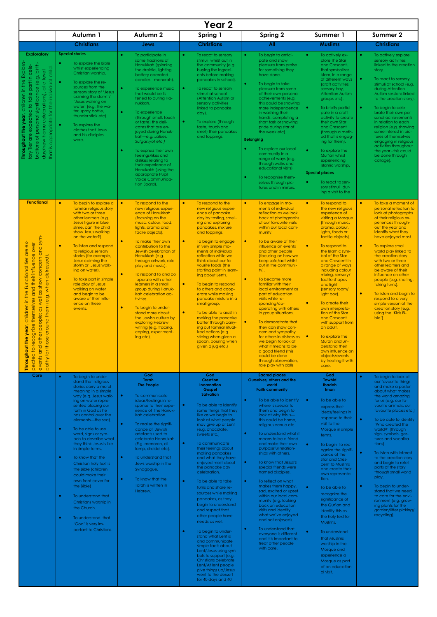|                                                                                                                                                                                                                                                                                                                                 | Year 2                                                                                                                                                                                                                                                                                                                                                                                                                                                                                                                                                                                                                                               |                                                                                                                                                                                                                                                                                                                                                                                                                                                                                                                                                                                                                                   |                                                                                                                                                                                                                                                                                                                                                                                                                                                                                                                                                                                                                                                                                                                                                                                                                                                   |                                                                                                                                                                                                                                                                                                                                                                                                                                                                                                                                                                                                                                                                                                                                                                                                                |                                                                                                                                                                                                                                                                                                                                                                                                                                                                                                                                                                                                                                                         |                                                                                                                                                                                                                                                                                                                                                                                                                                                                                                                                                                                                                                                                |  |  |
|---------------------------------------------------------------------------------------------------------------------------------------------------------------------------------------------------------------------------------------------------------------------------------------------------------------------------------|------------------------------------------------------------------------------------------------------------------------------------------------------------------------------------------------------------------------------------------------------------------------------------------------------------------------------------------------------------------------------------------------------------------------------------------------------------------------------------------------------------------------------------------------------------------------------------------------------------------------------------------------------|-----------------------------------------------------------------------------------------------------------------------------------------------------------------------------------------------------------------------------------------------------------------------------------------------------------------------------------------------------------------------------------------------------------------------------------------------------------------------------------------------------------------------------------------------------------------------------------------------------------------------------------|---------------------------------------------------------------------------------------------------------------------------------------------------------------------------------------------------------------------------------------------------------------------------------------------------------------------------------------------------------------------------------------------------------------------------------------------------------------------------------------------------------------------------------------------------------------------------------------------------------------------------------------------------------------------------------------------------------------------------------------------------------------------------------------------------------------------------------------------------|----------------------------------------------------------------------------------------------------------------------------------------------------------------------------------------------------------------------------------------------------------------------------------------------------------------------------------------------------------------------------------------------------------------------------------------------------------------------------------------------------------------------------------------------------------------------------------------------------------------------------------------------------------------------------------------------------------------------------------------------------------------------------------------------------------------|---------------------------------------------------------------------------------------------------------------------------------------------------------------------------------------------------------------------------------------------------------------------------------------------------------------------------------------------------------------------------------------------------------------------------------------------------------------------------------------------------------------------------------------------------------------------------------------------------------------------------------------------------------|----------------------------------------------------------------------------------------------------------------------------------------------------------------------------------------------------------------------------------------------------------------------------------------------------------------------------------------------------------------------------------------------------------------------------------------------------------------------------------------------------------------------------------------------------------------------------------------------------------------------------------------------------------------|--|--|
|                                                                                                                                                                                                                                                                                                                                 | Autumn 1                                                                                                                                                                                                                                                                                                                                                                                                                                                                                                                                                                                                                                             | Autumn <sub>2</sub>                                                                                                                                                                                                                                                                                                                                                                                                                                                                                                                                                                                                               | Spring 1                                                                                                                                                                                                                                                                                                                                                                                                                                                                                                                                                                                                                                                                                                                                                                                                                                          | <b>Spring 2</b>                                                                                                                                                                                                                                                                                                                                                                                                                                                                                                                                                                                                                                                                                                                                                                                                | <b>Summer 1</b>                                                                                                                                                                                                                                                                                                                                                                                                                                                                                                                                                                                                                                         | Summer 2                                                                                                                                                                                                                                                                                                                                                                                                                                                                                                                                                                                                                                                       |  |  |
|                                                                                                                                                                                                                                                                                                                                 | <b>Christians</b>                                                                                                                                                                                                                                                                                                                                                                                                                                                                                                                                                                                                                                    | <b>Jews</b>                                                                                                                                                                                                                                                                                                                                                                                                                                                                                                                                                                                                                       | <b>Christians</b>                                                                                                                                                                                                                                                                                                                                                                                                                                                                                                                                                                                                                                                                                                                                                                                                                                 | All                                                                                                                                                                                                                                                                                                                                                                                                                                                                                                                                                                                                                                                                                                                                                                                                            | <b>Muslims</b>                                                                                                                                                                                                                                                                                                                                                                                                                                                                                                                                                                                                                                          | <b>Christians</b>                                                                                                                                                                                                                                                                                                                                                                                                                                                                                                                                                                                                                                              |  |  |
| <b>Exploratory</b><br>children in the Explora<br>brations of personal significance (e.g. birth<br>take part in cele<br>appropriate for the individual child.<br>level<br>$\overline{\texttt{C}}$<br>$\overline{\sigma}$<br>celebrations),<br>tory Tier are expected to<br>Throughout the year,<br>day/new home<br>that is       | <b>Special stories</b><br>To explore the Bible<br>whilst experiencing<br>Christian worship.<br>To explore the re-<br>$\bullet$<br>sources from the<br>sensory story of 'Jesus<br>calming the storm'/<br>'Jesus walking on<br>water' (e.g. the wa-<br>ter, spray bottle,<br>thunder stick etc).<br>To explore the<br>clothes that Jesus<br>and his disciples<br>wore.                                                                                                                                                                                                                                                                                 | $\bullet$<br>To participate in<br>some traditions of<br>Hanukkah (spinning<br>the dreidle, lighting<br>battery operated<br>candles-menorah).<br>$\bullet$<br>To experience music<br>that would be lis-<br>tened to during Ha-<br>nukkah.<br>$\bullet$<br>To experience<br>(through smell, touch<br>or taste) the deli-<br>cates that are en-<br>joyed during Hanuk-<br>kah-e.g. Latkes,<br>Sufganiyot etc.)<br>To express their own<br>$\bullet$<br>feelings/likes and<br>dislikes relating to<br>their experience of<br>Hanukakh (using the<br>appropriate Pupil<br><b>Voice Communica-</b><br>tion Board).                      | $\bullet$<br>To react to sensory<br>stimuli whilst out in<br>the community (e.g.<br>buying the ingredi-<br>ents before making<br>pancakes in school).<br>To react to sensory<br>$\bullet$<br>stimuli at school<br>(Attention Autism or<br>sensory activities<br>linked to pancake<br>$day)$ .<br>To explore (through<br>$\bullet$<br>taste, touch and<br>smell) their pancakes<br>and toppings.                                                                                                                                                                                                                                                                                                                                                                                                                                                   | To begin to antici-<br>$\bullet$<br>pate and show<br>pleasure from praise<br>for something they<br>have done.<br>$\bullet$<br>To begin to take<br>pleasure from some<br>of their own personal<br>achievements (e.g.<br>this could be showing<br>more independence<br>in washing their<br>hands, completing a<br>short task or showing<br>pride during star of<br>the week etc).<br><b>Belonging</b><br>To explore our local<br>$\bullet$<br>community in a<br>range of ways (e.g.<br>through walks and<br>educational visits)<br>$\bullet$<br>To recognize them-<br>selves through pic-<br>tures and in mirrors.                                                                                                                                                                                               | $\bullet$<br>To actively ex-<br>plore The Star<br>and Crescent,<br>that symbolizes<br>Islam, in a range<br>of different ways<br>(craft activities,<br>sensory tray,<br><b>Attention Autism</b><br>groups etc).<br>To briefly partici-<br>$\bullet$<br>pate in a craft<br>activity to create<br>their own Star<br>and Crescent<br>(through a meth-<br>od that is engag-<br>ing for them).<br>$\bullet$<br>To explore the<br>Qur'an whilst<br>experiencing<br>Islamic worship.<br><b>Special places</b><br>$\bullet$<br>To react to sen-<br>sory stimuli dur-<br>ing a visit to the                                                                       | To actively explore<br>$\bullet$<br>sensory activities<br>linked to the creation<br>story.<br>To react to sensory<br>$\bullet$<br>stimuli at school (e.g.<br>during Attention<br>Autism sessions linked<br>to the creation story).<br>$\bullet$<br>To begin to cele-<br>brate their own per-<br>sonal achievements<br>in relation to each<br>religion (e.g. showing<br>some interest in pic-<br>tures of themselves<br>engaging in religious<br>activities throughout<br>the year-this could<br>be done through<br>collage).                                                                                                                                   |  |  |
| <b>Functional</b><br>other people; as well as show concern and sym-<br>$\overline{\bullet}$<br>over<br>children in the Functional tier are<br>and their influence<br>around them (e.g. when distressed).<br>themselves<br>year,<br>pected to recognize the<br>events and other peop<br>pathy for those arouna<br>Throughout the | $\bullet$<br>To begin to explore a<br>familiar religious story<br>with two or three<br>other learners (e.g.<br>Jesus figure in blue<br>slime, can the child<br>show Jesus walking<br>on the water?)<br>To listen and respond<br>$\bullet$<br>to religious sensory<br>stories (for example,<br>Jesus calming the<br>storm or Jesus walk-<br>ing on water).<br>$\bullet$<br>To take part in simple<br>role play of Jesus<br>walking on water<br>and begin to be<br>aware of their influ-<br>ence on these<br>events.                                                                                                                                   | $\bullet$<br>To respond to the<br>new religious experi-<br>ence of Hanukkah<br>(focusing on the<br>music, colour, food,<br>lights, drama and<br>tacile objects).<br>To make their own<br>$\bullet$<br>contribution to the<br>Jewish celebration of<br>Hanukkah (e.g.<br>through artwork, role<br>play and music).<br>$\bullet$<br>To respond to and co<br>-operate with other<br>learners in a small<br>group during Hanuk-<br>kah celebration ac-<br>tivities.<br>$\bullet$<br>To begin to under-<br>stand more about<br>the Jewish culture by<br>exploring Hebrew<br>writing (e.g. tracing,<br>coping, experiment-<br>ing etc). | $\bullet$<br>To respond to the<br>new religious experi-<br>ence of pancake<br>day by tasting, smell-<br>ing and exploring<br>pancakes, mixture<br>and toppings.<br>$\bullet$<br>To begin to engage<br>in very simple mo-<br>ments of individual<br>reflection while we<br>think about our fa-<br>vourite foods (the<br>starting point in learn-<br>ing about Lent).<br>$\bullet$<br>To begin to respond<br>to others and coop-<br>erate while making<br>pancake mixture in a<br>small group.<br>$\bullet$<br>To be able to assist in<br>making the pancake<br>batter through carry-<br>ing out familiar ritual-<br>ized actions (e.g.<br>stirring when given a<br>spoon, pouring when<br>given a jug etc.)                                                                                                                                        | $\bullet$<br>To engage in mo-<br>ments of individual<br>reflection as we look<br>back at photographs<br>of our favourite visits<br>within our local com-<br>munity.<br>To be aware of their<br>$\bullet$<br>influence on events<br>and other people<br>(focusing on how we<br>keep safe/act whilst<br>out in the communi-<br>$ty$ .<br>$\bullet$<br>To become more<br>familiar with their<br>local environment as<br>part of education<br>visits while re-<br>sponding/co-<br>operating with others<br>in group situations.<br>$\bullet$<br>To demonstrate that<br>they can show con-<br>cern and sympathy<br>for others in distress as<br>we begin to look at<br>what it means to be<br>a good friend (this<br>could be done<br>through observation,<br>role play with dolls                                  | $\bullet$<br>To respond to<br>the new religious<br>experience of<br>visiting a Mosque<br>(through music,<br>drama, colour,<br>lights, foods or<br>tactile objects).<br>To respond to<br>$\bullet$<br>the Islamic sym-<br>bol of the Star<br>and Crescent in<br>a range of ways<br>including colour<br>mixing, sensory/<br>tactile shapes<br>and light<br>(sensory room/<br>light box).<br>$\bullet$<br>To create their<br>own interpreta-<br>tion of the Star<br>and Crescent<br>with support from<br>an adult.<br>To explore the<br>$\bullet$<br>Quran and un-<br>derstand their<br>own influence on<br>objects/events<br>by treating it with<br>care. | $\bullet$<br>To take a moment of<br>personal reflection to<br>look at photographs<br>of their religious ex-<br>periences through-<br>out the year and<br>identify what they<br>have enjoyed most.<br>To explore small<br>$\bullet$<br>world play linked to<br>the creation story<br>with two or three<br>other learners and<br>be aware of their<br>influence on other<br>people (e.g. sharing,<br>taking turns).<br>$\bullet$<br>To listen and begin to<br>respond to a very<br>simple version of the<br>creation story (e.g.<br>using the 'Kids Bi-<br>ble').                                                                                                |  |  |
| Core                                                                                                                                                                                                                                                                                                                            | $\bullet$<br>To begin to under-<br>stand that religious<br>stories carry a moral<br>meaning in a simple<br>way (e.g. Jesus walk-<br>ing on water repre-<br>sented placing our<br>faith in God as he<br>has control over the<br>elements-the sea).<br>To be able to use<br>word, signs or sym-<br>bols to describe what<br>they think Jesus is like<br>in simple terms.<br>To know that the<br>Christian holy text is<br>the Bible (children<br>could make their<br>own front cover for<br>the Bible)<br>To understand that<br>$\bullet$<br>Christians worship in<br>the Church.<br>To understand that<br>'God' is very im-<br>portant to Christians. | God<br><b>Torah</b><br><b>The People</b><br>$\bullet$<br>To communicate<br>ideas/feelings in re-<br>sponse to their expe-<br>rience of the Hanuk-<br>kah celebration.<br>$\bullet$<br>To realise the signifi-<br>cance of Jewish<br>artefacts used to<br>celebrate Hannukah<br>(E.g. menorah, oil<br>lamp, dreidel etc).<br>To understand that<br>$\bullet$<br>Jews worship in the<br>Synagogue.<br>To know that the<br>Torah is written in<br>Hebrew.                                                                                                                                                                            | God<br><b>Creation</b><br><b>Incarnation</b><br>Gospel<br><b>Salvation</b><br>To be able to identify<br>$\bullet$<br>some things that they<br>like as we begin to<br>look at what people<br>may give up at Lent<br>(e.g. chocolate,<br>sweets etc.)<br>$\bullet$<br>To communicate<br>their feelings about<br>making pancakes<br>and what they have<br>enjoyed most about<br>the pancake day<br>celebration.<br>To be able to take<br>turns and share re-<br>sources while making<br>pancakes, as they<br>begin to understand<br>and respect that<br>other people have<br>needs as well.<br>$\bullet$<br>To begin to under-<br>stand what Lent is<br>and communicate<br>simple facts about<br>Lent/Jesus using sym-<br>bols to support (e.g.<br><b>Christians celebrate</b><br>Lent/At lent people<br>give things up/Jesus<br>went to the dessert | <b>Sacred places</b><br><b>Ourselves, others and the</b><br>world<br><b>Faith community</b><br>$\bullet$<br>To be able to identify<br>where is special to<br>them and begin to<br>look at why this is-<br>this could be home,<br>religious venue etc.<br>$\bullet$<br>To understand what it<br>means to be a friend<br>and make their own<br>purposeful relation-<br>ships with others.<br>$\bullet$<br>To know that Jesus's<br>special friends were<br>named disciples.<br>To reflect on what<br>makes them happy,<br>sad, excited or upset<br>within our local com-<br>munity (e.g. looking<br>back on education<br>visits and identify<br>what we've enjoyed<br>and not enjoyed).<br>To understand that<br>$\bullet$<br>everyone is different<br>and it is important to<br>treat other people<br>with care. | God<br><b>Tawhid</b><br><b>Ibadah</b><br>Iman<br>$\bullet$<br>To be able to<br>express their<br>ideas/feelings in<br>response to their<br>visit to the<br>Mosque in simple<br>terms.<br>$\bullet$<br>To begin to rec-<br>ognize the signifi-<br>cance of the<br><b>Star and Cres-</b><br>cent to Muslims<br>and create their<br>own representa-<br>tion.<br>$\bullet$<br>To be able to<br>recognize the<br>significance of<br>the Qur'an and<br>identify this as<br>the holy text for<br>Muslims.<br>To understand<br>$\bullet$<br>that Muslims<br>worship in the<br>Mosque and<br>experience a<br>Mosque as part<br>of an education-<br>al visit.      | To begin to look at<br>$\bullet$<br>our favourite things<br>and make a poster<br>about what makes<br>the world amazing<br>for us (e.g. our fa-<br>vourite animals, our<br>favourite places etc.)<br>$\bullet$<br>To be able to identify<br>'Who created the<br>world?' (through<br>sign, symbols, ges-<br>tures and vocaliza-<br>tions).<br>$\bullet$<br>To listen with interest<br>to the creation story<br>and begin to retell<br>parts of the story<br>through small world<br>play.<br>To begin to under-<br>$\bullet$<br>stand that we need<br>to care for the envi-<br>ronment (e.g. grow-<br>ing plants for the<br>garden/litter picking/<br>recycling). |  |  |

for 40 days and 40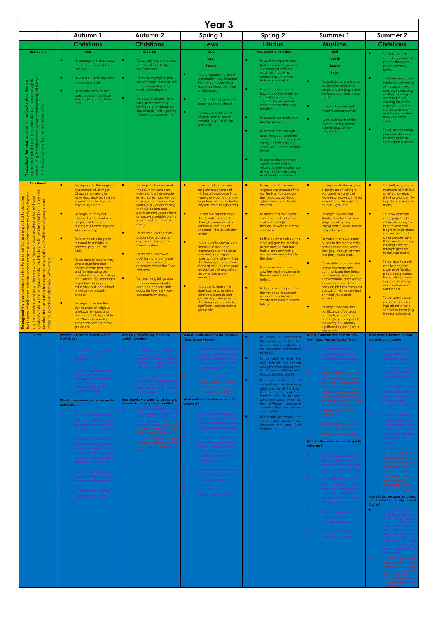|                                                                                                                                                                                                                                                                                                                                                                                                                                                                                                                                                                                                                                                                                                                                                    |                                                                                                                                                                                                                                                                                                                                                                                                                                                                                                                                                                                                                                                                                                                                                                                                                                                                                                                           |                                                                                                                                                                                                                                                                                                                                                                                                                                                                                                                                                                                                                                                                                                                               | Year <sub>3</sub>                                                                                                                                                                                                                                                                                                                                                                                                                                                                                                                                                                                                                                                                                                                                                                                                                                    |                                                                                                                                                                                                                                                                                                                                                                                                                                                                                                                                                                                                                                                                                                                                                     |                                                                                                                                                                                                                                                                                                                                                                                                                                                                                                                                                                                                                                                                                                                                                                                                                                                                                                                                                                                                                          |                                                                                                                                                                                                                                                                                                                                                                                                                                                                                                                                                                                                                                                                                                                                                                                                                                                                                                                                                                                                                                                                                                                                                       |
|----------------------------------------------------------------------------------------------------------------------------------------------------------------------------------------------------------------------------------------------------------------------------------------------------------------------------------------------------------------------------------------------------------------------------------------------------------------------------------------------------------------------------------------------------------------------------------------------------------------------------------------------------------------------------------------------------------------------------------------------------|---------------------------------------------------------------------------------------------------------------------------------------------------------------------------------------------------------------------------------------------------------------------------------------------------------------------------------------------------------------------------------------------------------------------------------------------------------------------------------------------------------------------------------------------------------------------------------------------------------------------------------------------------------------------------------------------------------------------------------------------------------------------------------------------------------------------------------------------------------------------------------------------------------------------------|-------------------------------------------------------------------------------------------------------------------------------------------------------------------------------------------------------------------------------------------------------------------------------------------------------------------------------------------------------------------------------------------------------------------------------------------------------------------------------------------------------------------------------------------------------------------------------------------------------------------------------------------------------------------------------------------------------------------------------|------------------------------------------------------------------------------------------------------------------------------------------------------------------------------------------------------------------------------------------------------------------------------------------------------------------------------------------------------------------------------------------------------------------------------------------------------------------------------------------------------------------------------------------------------------------------------------------------------------------------------------------------------------------------------------------------------------------------------------------------------------------------------------------------------------------------------------------------------|-----------------------------------------------------------------------------------------------------------------------------------------------------------------------------------------------------------------------------------------------------------------------------------------------------------------------------------------------------------------------------------------------------------------------------------------------------------------------------------------------------------------------------------------------------------------------------------------------------------------------------------------------------------------------------------------------------------------------------------------------------|--------------------------------------------------------------------------------------------------------------------------------------------------------------------------------------------------------------------------------------------------------------------------------------------------------------------------------------------------------------------------------------------------------------------------------------------------------------------------------------------------------------------------------------------------------------------------------------------------------------------------------------------------------------------------------------------------------------------------------------------------------------------------------------------------------------------------------------------------------------------------------------------------------------------------------------------------------------------------------------------------------------------------|-------------------------------------------------------------------------------------------------------------------------------------------------------------------------------------------------------------------------------------------------------------------------------------------------------------------------------------------------------------------------------------------------------------------------------------------------------------------------------------------------------------------------------------------------------------------------------------------------------------------------------------------------------------------------------------------------------------------------------------------------------------------------------------------------------------------------------------------------------------------------------------------------------------------------------------------------------------------------------------------------------------------------------------------------------------------------------------------------------------------------------------------------------|
|                                                                                                                                                                                                                                                                                                                                                                                                                                                                                                                                                                                                                                                                                                                                                    | Autumn 1                                                                                                                                                                                                                                                                                                                                                                                                                                                                                                                                                                                                                                                                                                                                                                                                                                                                                                                  | Autumn 2                                                                                                                                                                                                                                                                                                                                                                                                                                                                                                                                                                                                                                                                                                                      | Spring 1                                                                                                                                                                                                                                                                                                                                                                                                                                                                                                                                                                                                                                                                                                                                                                                                                                             | Spring 2                                                                                                                                                                                                                                                                                                                                                                                                                                                                                                                                                                                                                                                                                                                                            | Summer 1                                                                                                                                                                                                                                                                                                                                                                                                                                                                                                                                                                                                                                                                                                                                                                                                                                                                                                                                                                                                                 | <b>Summer 2</b>                                                                                                                                                                                                                                                                                                                                                                                                                                                                                                                                                                                                                                                                                                                                                                                                                                                                                                                                                                                                                                                                                                                                       |
|                                                                                                                                                                                                                                                                                                                                                                                                                                                                                                                                                                                                                                                                                                                                                    | <b>Christians</b><br>God                                                                                                                                                                                                                                                                                                                                                                                                                                                                                                                                                                                                                                                                                                                                                                                                                                                                                                  | <b>Christians</b>                                                                                                                                                                                                                                                                                                                                                                                                                                                                                                                                                                                                                                                                                                             | <b>Jews</b>                                                                                                                                                                                                                                                                                                                                                                                                                                                                                                                                                                                                                                                                                                                                                                                                                                          | <b>Hindus</b><br><b>Introduction to Hinduism</b>                                                                                                                                                                                                                                                                                                                                                                                                                                                                                                                                                                                                                                                                                                    | <b>Muslims</b><br>God                                                                                                                                                                                                                                                                                                                                                                                                                                                                                                                                                                                                                                                                                                                                                                                                                                                                                                                                                                                                    | <b>Christians</b>                                                                                                                                                                                                                                                                                                                                                                                                                                                                                                                                                                                                                                                                                                                                                                                                                                                                                                                                                                                                                                                                                                                                     |
| <b>Exploratory</b><br>n in the Exploratory Tier are<br>ebrations of personal signifi-<br>ome celebrations), at a level<br>the individual child.<br>new home<br>birthday/<br>appropriate for<br>$\overline{\sigma}$<br>ed to take<br>$\mathop{\bullet}\limits^{\bullet}$<br>(e.9.<br>Through<br>cance<br>$\Delta$<br>that                                                                                                                                                                                                                                                                                                                                                                                                                           | To engage with story props<br>from the parable of The<br>Lost Son.<br>٠<br>To visit a Church and react<br>to sensory stimuli.<br>$\bullet$<br>To explore some of the<br>objects used in Christian<br>worship (e.g. cross, Bible<br>etc).                                                                                                                                                                                                                                                                                                                                                                                                                                                                                                                                                                                                                                                                                  | <b>Creation</b><br>٠<br>To actively explore sensory<br>activities linked to the<br>creation story.<br>$\bullet$<br>To briefly engage in play<br>with props/resources linked<br>the creation story (e.g.<br>small world play etc.)<br>$\bullet$<br>To react to sensory stimuli<br>whilst in a community<br>setting (e.g. whilst out on<br>Educational Visits-getting<br>to know our community).                                                                                                                                                                                                                                                                                                                                | God<br>Torah<br>People<br>۰<br>To participate in a Jewish<br>celebration (e.g. Shabbat)<br>in a range of ways (e.g.<br>exploring foods/clothing/<br>smells/music).<br>$\bullet$<br>To visit a Synagogue and<br>react to sensory stimuli.<br>$\bullet$<br>To explore some of the<br>objects used in Jewish<br>worship (e.g. Torah, kip-<br>pah etc).                                                                                                                                                                                                                                                                                                                                                                                                                                                                                                  | $\bullet$<br>To actively explore Aum,<br>that symbolizes Hinduism,<br>in a range of different<br>ways (craft activities,<br>sensory tray, Attention<br>Autism groups etc).<br>To participate in some<br>traditions of the Hindu Holi<br>Festival (e.g. exploring<br>bright coloured powder<br>paint to make their own<br>creation).<br>$\bullet$<br>To experience music from<br>the Holi Festival.<br>$\bullet$<br>To experience (through<br>smell, touch or taste) the<br>delicates that are enjoyed<br>during Holi Festival-e.g.<br>Puran Poli, Thandai, Bhang<br>(herb).<br>$\bullet$<br>To express their own feel-<br>ings/likes and dislikes<br>relating to their experience<br>of the Holi Festival (using<br><b>Blank level 1 communica-</b> | <b>Tawhid</b><br>Ibadah<br>Iman<br>$\bullet$<br>To participate in a Islamic<br>celebration of Eid in a<br>range of ways (e.g. explor-<br>ing foods/clothing/smells/<br>$music$ ).<br>$\bullet$<br>To visit a Mosque and<br>react to sensory stimuli.<br>$\bullet$<br>To explore some of the<br>objects used in Islamic<br>worship (e.g. Qu'ran,<br>prayer mat)                                                                                                                                                                                                                                                                                                                                                                                                                                                                                                                                                                                                                                                           | $\bullet$<br>To react and re-<br>spond to pictures of<br>people they love-<br>parents/carers/<br>family.<br>$\bullet$<br>To briefly engage in<br>a role play wedding<br>with support (e.g.<br>dressing in wedding<br>clothes, listening to<br>wedding music,<br>walking down the<br>aisle etc.) - demon-<br>strating one way in<br>which people show<br>they love each<br>other.<br>$\bullet$<br>To be able to recog-<br>nize and identify a<br>pictures of them-<br>selves from a group.                                                                                                                                                                                                                                                                                                                                                                                                                                                                                                                                                                                                                                                             |
| <b>Functional</b><br>by improv-<br>$\overline{\sigma}$<br>develop<br>or lonely) and<br>two learners) until they<br>and<br>groups<br>community<br>$\overline{Q}$<br>expected<br>excited<br>within small<br>wider<br>are<br>sad,<br>$\frac{1}{\sqrt{1+\frac{1}{2}}}$<br>lier<br>$\overline{\overline{6}}$<br>$\hbox{ }^{\sigma}$<br>(happy,<br>activities (starting<br>Functional<br>respond/cooperate<br>part<br>others.<br>$\mathbf S$<br>emotions<br>and<br>the<br>with<br>idual<br>⊇.<br>their<br>dron6<br>relationships<br>children<br>$\overline{\sigma}$<br>able to<br>≘.<br>understanding<br>part<br>year,<br>8p<br>and<br>purposeful<br>self<br>gradually taking proceed<br>the<br><b>Throughout</b><br>sense<br>ing their<br>make<br>their | $\bullet$<br>To respond to the religious<br>experience of visiting a<br>Church in a variety of<br>ways (e.g. showing interest<br>in music, tactile objects,<br>colours, lights etc).<br>$\bullet$<br>To begin to carry out<br>ritualised actions within a<br>religious setting (e.g.<br>putting our hands together<br>when we pray).<br>$\bullet$<br>To listen to and begin to<br>respond to a religious<br>parable (e.g. The Lost<br>Son).<br>◆<br>To be able to answer very<br>simple questions and<br>communicate their ideas<br>and feelings using pic-<br>tures/symbols, after visiting<br>the Church (e.g. look back<br>on pictures from your<br>education visit and reflect<br>on what you experi-<br>enced.)<br>$\bullet$<br>To begin to realise the<br>significance of religious<br>artefacts, symbols and<br>places (e.g. during visit to<br>the Church) - identify<br>significant objects from a<br>group etc. | $\bullet$<br>To begin to be aware of<br>their own influence on<br>events and other people<br>in relation to how we look<br>after each other and the<br>world (e.g. understanding<br>that our actions and<br>behavior can upset others<br>or throwing rubbish on the<br>floor is bad for the environ-<br>ment).<br>$\bullet$<br>To be able to order sym-<br>bols and/or pictures of<br>key events to retell the<br><b>Creation Story.</b><br>$\bullet$<br>To be able to answer<br>questions and communi-<br>cate their opinions/<br>responses about the Crea-<br>tion story.<br>$\bullet$<br>To treat living things and<br>their environment with<br>care and concern (this<br>could be how they han-<br>dles plants/animals). | $\bullet$<br>To respond to the new<br>religious experience of<br>visiting a Synagogue in a<br>variety of ways (e.g. show-<br>ing interest in music, tactile<br>objects, colours, lights etc).<br>$\bullet$<br>To find out aspects about<br>the Jewish community<br>through drama / music/<br>artwork as we look at<br>Shabbat-the Jewish day<br>of rest.<br>$\bullet$<br>To be able to answer very<br>simple questions and<br>communicate their ideas<br>and feelings using pic-<br>tures/symbols, after visiting<br>the Synagogue (e.g. look<br>back at pictures from your<br>education visit and reflect<br>on what you experi-<br>enced.)<br>$\bullet$<br>To begin to realise the<br>significance of religious<br>artefacts, symbols and<br>places (e.g. during visit to<br>the Synagogue) - identify<br>significant objects from a<br>group etc. | $\bullet$<br>To respond to the new<br>religious experience of the<br>Holi festival (focusing on<br>the music, colour, food,<br>lights, drama and tacile<br>objects).<br>$\bullet$<br>To make their own contri-<br>bution to the Hindu cele-<br>bration of Holi (e.g.<br>through artwork, role play<br>and music).<br>$\bullet$<br>To find out more about the<br>Hindu religion by listening<br>to the story behind Holi<br>festival and answering<br>simple questions linked to<br>the story.<br>$\bullet$<br>To communicate ideas<br>and feelings in response to<br>their experience of Holi<br>festival.<br>$\bullet$<br>To begin to recognize that<br>the Aum is an important<br>symbol to Hindus and<br>create their own represen-<br>tation.   | $\bullet$<br>To respond to the religious<br>experience of visiting a<br>Mosque in a variety of<br>ways (e.g. showing interest<br>in music, tactile objects,<br>colours, lights etc).<br>$\bullet$<br>To begin to carry out<br>ritualised actions within a<br>religious setting (e.g.<br>taking part in Wudu before<br>prayer begins).<br>$\bullet$<br>To make their own contri-<br>bution to the Islamic cele-<br>bration of Eid and Rama-<br>dan (e.g. through artwork,<br>role play, music etc).<br>$\bullet$<br>To be able to answer very<br>simple questions and<br>communicate their ideas<br>and feelings using pic-<br>tures/symbols, after visiting<br>the Mosque (e.g. look<br>back on pictures from your<br>education visit and reflect<br>on what you experi-<br>enced.)<br>$\bullet$<br>To begin to realise the<br>significance of religious<br>artefacts, symbols and<br>places (e.g. during visit to<br>the Mosque) - identify<br>significant objects from a<br>aroup etc                                  | $\bullet$<br>To briefly engage in<br>moments of individu-<br>al reflection (e.g.<br>thinking and identify-<br>ing who is special to<br>them).<br>$\bullet$<br>To show concern<br>and sympathy for<br>others who may be<br>in distressed and<br>begin to understand<br>and respect that<br>other people have<br>their own needs (e.g.<br>offering comfort<br>through gestures,<br>facial expressions)<br>$\bullet$<br>To be able to confi-<br>dently recognize<br>pictures of familiar<br>people (e.g. peers,<br>family, staff) - start-<br>ing point to recog-<br>nize each person's<br>uniqueness.<br>$\bullet$<br>To be able to com-<br>municate their feel-<br>ings about what is<br>special to them (e.g.<br>through role play).                                                                                                                                                                                                                                                                                                                                                                                                                  |
| Core                                                                                                                                                                                                                                                                                                                                                                                                                                                                                                                                                                                                                                                                                                                                               | <b>What do Christians believe God is</b><br>like? [God]                                                                                                                                                                                                                                                                                                                                                                                                                                                                                                                                                                                                                                                                                                                                                                                                                                                                   | Who do Christians say made the<br>world? [Creation]                                                                                                                                                                                                                                                                                                                                                                                                                                                                                                                                                                                                                                                                           | Who is Jewish and how do they live?<br>[God/Torah/ People]                                                                                                                                                                                                                                                                                                                                                                                                                                                                                                                                                                                                                                                                                                                                                                                           | $\bullet$<br>To begin to understand<br>the meaning behind the                                                                                                                                                                                                                                                                                                                                                                                                                                                                                                                                                                                                                                                                                       | Who is a Muslim and how do they<br>live? [God/Tawhid/ibadah/iman]                                                                                                                                                                                                                                                                                                                                                                                                                                                                                                                                                                                                                                                                                                                                                                                                                                                                                                                                                        | What does it mean to belong<br>to a faith community?                                                                                                                                                                                                                                                                                                                                                                                                                                                                                                                                                                                                                                                                                                                                                                                                                                                                                                                                                                                                                                                                                                  |
|                                                                                                                                                                                                                                                                                                                                                                                                                                                                                                                                                                                                                                                                                                                                                    | To know what a parable<br>is—what is your favourite<br>parable?<br>To listen to and retell the<br>story of the Lost Son from<br>the Bible-what does this<br>mean to Christians?<br>(recognising God as a<br>forgiving Father)<br>What makes some places sacred to<br>believers?<br>To visit a Church and be<br>able to identify Christian<br>spiritual leaders and some<br>of the key characteristics.<br>To identify at least 3 ob-<br>jects used in the Christian<br>religion to worship (e.g.<br>cross, Bible etc.) - what are<br>they, how are they used<br>and what do they mean?<br>To know how Christians<br>worship at the Church and<br>who do they worship to.<br>To understand Christian<br>beliefs about worship.                                                                                                                                                                                             | To listen to and retell key<br>elements of the Christian<br>creation story-verbally<br>written and using symbols<br>(Genesis 1:1-2:3)<br>To recognise that<br>'Creation' is the beginning<br>of the 'big story' of the<br>Bible.- what does this tell<br>us about God?<br>How should we care for others and<br>the world, and why does it matter?<br>To be able to give a clear<br>and simple account of<br>what Genesis 1 tells Chris-<br>tians and Jews about the<br>natural world.—why do<br>Christians and Jews look<br>after the natural world.<br>$\bullet$<br>To give examples on how<br>Christians and Jews can<br>show care for the natural<br>earth.                                                                | To retell simple stories used<br>in Jewish celebrations (e.g.<br>Hanukkah/Shabbat) and<br>recognise how this reminds<br>Jews of what God is like.<br>l e<br>To give examples of how<br>Jewish people celebrate<br>special times (e.g. Shab-<br>bat, Sukkot, Hanukkah).<br>What makes some places sacred to<br>believers?<br>$\bullet$<br>To visit a Synagogue and<br>be able to identify Jewish<br>spiritual leaders and some<br>of the key characteristics.<br>To identify at least 3 ob-<br>jects used in Jewish wor-<br>ship (e.g. Torah, kippah<br>etc.) - what are they, how<br>are they used and what<br>do they mean?<br>To know how Jews worship<br>in the Synagogue and<br>To understand Jewish<br>beliefs about worship.                                                                                                                   | Holi festival and why this is<br>an important celebration<br>to Hindus.<br>$\bullet$<br>To be able to retell the<br>story behind Holi festival<br>and give examples of how<br>Holi is celebrated-(paint is<br>thrown, bonfires are lit).<br>$\bullet$<br>To begin to be able to<br>understand the meaning<br>behind some of the tradi-<br>tions of Holi festival (e.g.<br>bonfires are lit to burn<br>away evil spirits. What do<br>the different coloured<br>powders that are thrown<br>represent?)<br>$\bullet$<br>To be able to identify that<br>during Holi Festival we<br>celebrate the Hindu God<br>Knishna.                                                                                                                                  | $\bullet$<br>To understand what<br>Musllims believe about<br>Muhammad from stories<br>about the Prophet.<br>$\bullet$<br>To give examples of how<br>Muslims use stories about<br>the Prophet to guide their<br>beliefs and actions (e.g.<br>fasting during Ramadan to<br>mark when Allah gave the<br>first chapters of the Qu'ran<br>to Phophet Muhammed,<br>followed by Eid al-Fitr to<br>break to fast).<br>$\bullet$<br>To give examples of how<br>Muslims put their beliefs<br>about prayer into action.<br>What makes some places sacred to<br>believers?<br>$\bullet$<br>To visit a Mosque and be<br>able to identify Muslim<br>spiritual leaders and some<br>of the key characteristics.<br>To identify at least 3 ob-<br>jects used in Islamic wor-<br>ships (e.g. Quran, prayer<br>mat) - what are they, how<br>are they used and what<br>do they mean?<br>$\bullet$<br>To know how Muslims<br>worship in the Mosque and<br>who they worship to.<br>$\bullet$<br>To understand Muslim<br>beliefs about worship. | To recognise that<br>loving others is im-<br>portant in lots of<br>communities.-- Who<br>do we love in our<br>community? Why do<br>we love them?<br>To be able to give a<br>simple explanation o<br>what Jesus taught<br>Christians about<br>loving each other.<br>To use ICT technolo-<br>gy to research an-<br>other religious leade<br>who taught about<br>loving other people.<br>-What did they<br>teach?<br>$\bullet$<br>To explore some of<br>the similarities and<br>differences between<br>marriages in two<br>different cultures.-<br>How do they show<br>other? (e.g. Christi-<br>anity and Islam).<br>How should we care for others<br>and the world, and why does it<br>matter?<br>$\bullet$<br>To be able to listen to<br>a religious story that<br>highlights each<br>person's value and<br>uniqueness (e.g. The<br>Lost Sheep or The<br>Lost Coin) and to be<br>able to give an<br>example of the<br>moral behind the<br>story-God loves all<br>people etc.<br>$\bullet$<br>To show what they<br>have learnt from<br>these religious stories<br>and communicate<br>ways that we can<br>care for and be kind<br>to others (e.g. giving |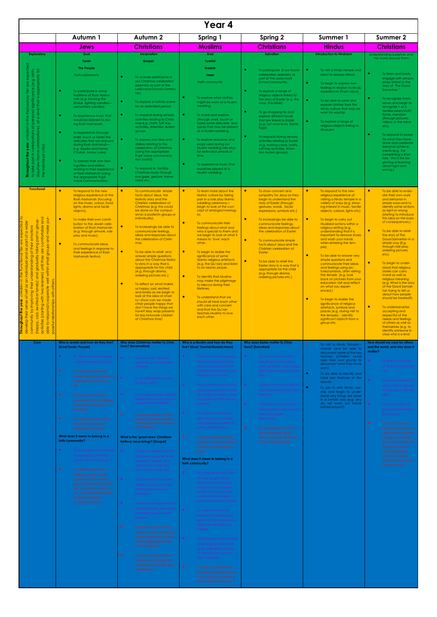| Year 4                                                                                                                                                                                                                                                                                                                                                                                                                              |                                                                                                                                                                                                                                                                                                                                                                                                                                                                                                                                                                                                                                                                                                                                           |                                                                                                                                                                                                                                                                                                                                                                                                                                                                                                                                                                                                                                                                                                                                                                                                                                                                                                                                                                                                                                                                |                                                                                                                                                                                                                                                                                                                                                                                                                                                                                                                                                                                                                                                                                                                                                                                                                                                                                                                                                                                                                                                                                                                       |                                                                                                                                                                                                                                                                                                                                                                                                                                                                                                                                                                                            |                                                                                                                                                                                                                                                                                                                                                                                                                                                                                                                                                                                                                                                                                                                                                                                                                                          |                                                                                                                                                                                                                                                                                                                                                                                                                                                                                                                                                                                                                                                                                                                                                                  |  |
|-------------------------------------------------------------------------------------------------------------------------------------------------------------------------------------------------------------------------------------------------------------------------------------------------------------------------------------------------------------------------------------------------------------------------------------|-------------------------------------------------------------------------------------------------------------------------------------------------------------------------------------------------------------------------------------------------------------------------------------------------------------------------------------------------------------------------------------------------------------------------------------------------------------------------------------------------------------------------------------------------------------------------------------------------------------------------------------------------------------------------------------------------------------------------------------------|----------------------------------------------------------------------------------------------------------------------------------------------------------------------------------------------------------------------------------------------------------------------------------------------------------------------------------------------------------------------------------------------------------------------------------------------------------------------------------------------------------------------------------------------------------------------------------------------------------------------------------------------------------------------------------------------------------------------------------------------------------------------------------------------------------------------------------------------------------------------------------------------------------------------------------------------------------------------------------------------------------------------------------------------------------------|-----------------------------------------------------------------------------------------------------------------------------------------------------------------------------------------------------------------------------------------------------------------------------------------------------------------------------------------------------------------------------------------------------------------------------------------------------------------------------------------------------------------------------------------------------------------------------------------------------------------------------------------------------------------------------------------------------------------------------------------------------------------------------------------------------------------------------------------------------------------------------------------------------------------------------------------------------------------------------------------------------------------------------------------------------------------------------------------------------------------------|--------------------------------------------------------------------------------------------------------------------------------------------------------------------------------------------------------------------------------------------------------------------------------------------------------------------------------------------------------------------------------------------------------------------------------------------------------------------------------------------------------------------------------------------------------------------------------------------|------------------------------------------------------------------------------------------------------------------------------------------------------------------------------------------------------------------------------------------------------------------------------------------------------------------------------------------------------------------------------------------------------------------------------------------------------------------------------------------------------------------------------------------------------------------------------------------------------------------------------------------------------------------------------------------------------------------------------------------------------------------------------------------------------------------------------------------|------------------------------------------------------------------------------------------------------------------------------------------------------------------------------------------------------------------------------------------------------------------------------------------------------------------------------------------------------------------------------------------------------------------------------------------------------------------------------------------------------------------------------------------------------------------------------------------------------------------------------------------------------------------------------------------------------------------------------------------------------------------|--|
|                                                                                                                                                                                                                                                                                                                                                                                                                                     | Autumn 1                                                                                                                                                                                                                                                                                                                                                                                                                                                                                                                                                                                                                                                                                                                                  | Autumn 2                                                                                                                                                                                                                                                                                                                                                                                                                                                                                                                                                                                                                                                                                                                                                                                                                                                                                                                                                                                                                                                       | Spring 1                                                                                                                                                                                                                                                                                                                                                                                                                                                                                                                                                                                                                                                                                                                                                                                                                                                                                                                                                                                                                                                                                                              | <b>Spring 2</b>                                                                                                                                                                                                                                                                                                                                                                                                                                                                                                                                                                            | Summer 1                                                                                                                                                                                                                                                                                                                                                                                                                                                                                                                                                                                                                                                                                                                                                                                                                                 | <b>Summer 2</b>                                                                                                                                                                                                                                                                                                                                                                                                                                                                                                                                                                                                                                                                                                                                                  |  |
|                                                                                                                                                                                                                                                                                                                                                                                                                                     | Jews                                                                                                                                                                                                                                                                                                                                                                                                                                                                                                                                                                                                                                                                                                                                      | <b>Christians</b>                                                                                                                                                                                                                                                                                                                                                                                                                                                                                                                                                                                                                                                                                                                                                                                                                                                                                                                                                                                                                                              | <b>Muslims</b>                                                                                                                                                                                                                                                                                                                                                                                                                                                                                                                                                                                                                                                                                                                                                                                                                                                                                                                                                                                                                                                                                                        | <b>Christians</b>                                                                                                                                                                                                                                                                                                                                                                                                                                                                                                                                                                          | <b>Hindus</b>                                                                                                                                                                                                                                                                                                                                                                                                                                                                                                                                                                                                                                                                                                                                                                                                                            | <b>Christians</b>                                                                                                                                                                                                                                                                                                                                                                                                                                                                                                                                                                                                                                                                                                                                                |  |
| <b>Exploratory</b><br>expected<br>personal significance (e.g. birth-<br>at a level that is appropriate for<br>alp<br>Exploratory Tier<br>personal<br>in the<br>day/new home celebrations),<br>$\overline{\circ}$<br>children<br>rations<br>celebr<br>Throughout the year,<br>child.<br>part in<br>individual<br>take<br>the<br>$\mathbf{Q}$<br><b>Functional</b>                                                                    | God<br>Torah<br><b>The People</b><br><b>Faith community</b><br>۰<br>To participate in some<br>traditions of Rosh Hasha-<br>nah (e.g. blowing the<br>Shofar, lighting candles-<br>use battery candles).<br>$\bullet$<br>To experience music that<br>would be listened to dur-<br>ing Rosh Hashanah.<br>۰<br>To experience (through<br>smell, touch or taste) the<br>delicates that are enjoyed<br>during Rosh Hashanah-<br>e.g. Apples and honey,<br>Challah, honey cake)<br>۰<br>To express their own feel-<br>ings/likes and dislikes<br>relating to their experience<br>of Rosh Hashanah (using<br>the appropriate Pupil<br><b>Voice Communication</b><br>$\bullet$<br>To respond to the new<br>religious experience of the             | <b>Incarnation</b><br>Gospel<br>$\bullet$<br>To actively participate in<br>our Christmas celebration<br>assembly as part of the<br>Ladywood School commu-<br>nity.<br>$\bullet$<br>To explore a nativity scene<br>for an extended period.<br>$\bullet$<br>To respond during sensory<br>activities relating to Christ-<br>mas e.g. crafts, tuff tray<br>activities, Attention Autism<br>groups.<br>$\bullet$<br>To express own likes and<br>dislikes relating to the<br>celebration of Christmas<br>(using the appropriate)<br>Pupil Voice communica-<br>tion board).<br>$\bullet$<br>To respond to familiar<br>Christmas music through<br>eye gaze, gesture, move-<br>ment etc.<br>$\bullet$<br>To communicate simple<br>facts about Jesus, the                                                                                                                                                                                                                                                                                                                | God<br><b>Tawhid</b><br>Ibadah<br>Iman<br>Faith community<br>To explore what clothes<br>might be worn at a Muslim<br>wedding.<br>To make and explore<br>(through smell, touch or<br>taste) some delicates and<br>spices that may be present<br>at a Muslim wedding.<br>To explore resources and<br>props used during our<br>Muslim wedding role play,<br>for extended periods of<br>time.<br>To experience music that<br>would be played at a<br>Muslim wedding.<br>$\bullet$<br>To learn more about the<br><b>Islamic culture by taking</b>                                                                                                                                                                                                                                                                                                                                                                                                                                                                                                                                                                          | <b>Salvation</b><br>To participate in our Easter<br>celebration assembly as<br>part of the Ladywood<br>School community.<br>To explore a range of<br>religious objects linked to<br>the story of Easter (e.g. the<br>cross, the bible).<br>To go shopping for and<br>explore different foods<br>that are linked to Easter<br>(e.g. hot cross buns, Easter<br>Eggs).<br>To respond during sensory<br>activities relating to Easter<br>(e.g. making cards, crafts,<br>tuff tray activities, Atten-<br>tion Autism groups).<br>$\bullet$<br>To show concern and<br>sympathy for Jesus as they | <b>Introduction to Hinduism</b><br>To visit a Hindu temple and<br>react to sensory stimuli.<br>To begin to express own<br>feelinas in relation to Hindu<br>experiences (Pupil voice).<br>$\bullet$<br>To be able to wear and<br>explore clothes from the<br>Hindu culture that may be<br>worn for worship<br>To explore a range of<br>religious objects linking to<br>Hinduism.<br>$\bullet$<br>To respond to the new<br>religious experience of                                                                                                                                                                                                                                                                                                                                                                                         | Understanding ourselves and<br>the world around them<br>$\bullet$<br>To listen and briefly<br>engage with sensory<br>props linked to the<br>story of 'The Good<br>Samaritan.'<br>۰<br>To recognize them-<br>selves and begin to<br>recognize 1 or 2<br>familiar peers/staff/<br>family members<br>(through pictures,<br>videos, in the mirror<br>$etc$ ).<br>$\bullet$<br>To respond to praise<br>for what they have<br>done and celebrate<br>personal achieve-<br>ments (e.g. For<br>completing a short<br>task - this is the be-<br>ginning of learning<br>about right and<br>wrong.)<br>$\bullet$<br>To be able to evalu-<br>ate their own work                                                                                                               |  |
| mfortable and<br>make pur<br>part in group<br>motions<br>ঁত<br>and<br>are<br>高<br>ှစ္စ ဂွိ<br>lnoib<br>are<br>until they<br>gradually<br>small<br>within<br>and<br>learners)<br>$\frac{1}{2}$<br>lonely)<br>to respond/cooperate<br>$\ddot{\tau}$<br>activities (starting with two<br>$\overleftarrow{\mathrm{o}}$<br>excited<br>lationships<br>year<br>oughout the<br>sad,<br>্ক<br>(happy,<br>Ē<br>$\overline{9}$<br>able<br>oset | <b>Rosh Hashanah (focusing</b><br>on the music, colour, food,<br>lights, drama and tacile<br>objects).<br>$\bullet$<br>To make their own contri-<br>bution to the Jewish cele-<br>bration of Rosh Hashanah<br>(e.g. through artwork, role<br>play and music).<br>$\bullet$<br>To communicate ideas<br>and feelings in response to<br>their experience of Rosh<br>Hashanah festival.                                                                                                                                                                                                                                                                                                                                                       | Nativity story and the<br>Christian celebration of<br>Christmas (e.g. this could<br>be done on the comput-<br>er/on a poster/in groups or<br>individually).<br>$\bullet$<br>To increasingly be able to<br>communicate feelings,<br>ideas and responses about<br>the celebration of Christ-<br>mas.<br>$\bullet$<br>To be able to retell and<br>answer simple questions<br>about the Christmas Nativi-<br>ty story in a way that is<br>appropriate for the child<br>(e.g. through drama,<br>ordering pictures etc.)<br>$\bullet$<br>To reflect on what makes<br>us happy, sad, excited<br>and lonely as we begin to<br>look at the idea of chari-<br>ty-(how can we made<br>other people happy that<br>don't have the things we<br>have? May wrap presents<br>for less fortunate children<br>at Christmas time)                                                                                                                                                                                                                                                 | part in a role play Islamic<br>wedding ceremony-<br>begin to look at the con-<br>cept of arranged marriag-<br>es.<br>$\bullet$<br>To communicate their<br>feelings about what and<br>who is special to them and<br>we begin to look at what it<br>means to 'love' each<br>other.<br>$\bullet$<br>To begin to realise the<br>significance of some<br><b>Islamic religious artefacts</b><br>(e.g. the Qu'ran) and listen<br>to an Islamic prayer.<br>$\bullet$<br>To identify that Muslims<br>may make the pilgrimage<br>to Mecca during their<br>lifetimes.<br>$\bullet$<br>To understand that we<br>should all treat each other<br>with care and concern<br>and that the Qu'ran<br>teaches Muslims to love<br>each other.                                                                                                                                                                                                                                                                                                                                                                                             | begin to understand the<br>story of Easter (through<br>gestures, words, facial<br>expressions, symbols etc.)<br>$\bullet$<br>To increasingly be able to<br>communicate feelings,<br>ideas and responses about<br>the celebration of Easter.<br>$\bullet$<br>To communicate simple<br>facts about Jesus and the<br>Christian celebration of<br>Easter.<br>$\bullet$<br>To be able to retell the<br>Easter story in a way that is<br>appropriate for the child<br>(e.g. through drama,<br>ordering pictures etc.)                                                                            | visiting a Hindu temple in a<br>variety of ways (e.g. show-<br>ing interest in music, tactile<br>objects, colours, lights etc).<br>$\bullet$<br>To begin to carry out<br>ritualised actions within a<br>religious setting (e.g.<br>understanding that it is<br>important to remove shoes<br>and wash your hands<br>when entering the tem-<br>ple).<br>$\bullet$<br>To be able to answer very<br>simple questions and<br>communicate their ideas<br>and feelings using pic-<br>tures/symbols, after visiting<br>the temple (e.g. look<br>back on pictures from your<br>education visit and reflect<br>on what you experi-<br>enced.)<br>$\bullet$<br>To begin to realise the<br>significance of religious<br>artefacts, symbols and<br>places (e.g. during visit to<br>the temple) - identify<br>significant objects from a<br>group etc. | and behavior in<br>simple ways and to<br>identify some actions<br>as right or wrong<br>(starting to introduce<br>this idea on the basis<br>of consequences.)<br>$\bullet$<br>To be able to retell<br>the story of The<br>Good Samaritan in a<br>simple way (E.g.<br>through role play,<br>ordering pictures<br>$etc$ ).<br>$\bullet$<br>To begin to under-<br>stand that religious<br>stories can carry<br>moral as well as<br>religious meaning<br>(e.g. What is the story<br>of the Good Samari-<br>tan trying to tell us<br>about how people<br>should be treated?)<br>$\bullet$<br>To understand/be<br>accepting and<br>respectful of the<br>needs and feelings<br>of others as well as<br>themselves (e.g. to<br>identify someone in<br>class who is a kind |  |
| Core                                                                                                                                                                                                                                                                                                                                                                                                                                | Who is Jewish and how do they live?<br>[God/Torah/ People]                                                                                                                                                                                                                                                                                                                                                                                                                                                                                                                                                                                                                                                                                | Why does Christmas matter to Chris-<br>tians? [Incarnation]                                                                                                                                                                                                                                                                                                                                                                                                                                                                                                                                                                                                                                                                                                                                                                                                                                                                                                                                                                                                    | Who is a Muslim and how do they<br>live? [God/Tawhid/ibadah/iman]                                                                                                                                                                                                                                                                                                                                                                                                                                                                                                                                                                                                                                                                                                                                                                                                                                                                                                                                                                                                                                                     | Why does Easter matter to Chris-<br>tians? [Salvation]                                                                                                                                                                                                                                                                                                                                                                                                                                                                                                                                     | $\bullet$<br>To visit a Hindu Temple-                                                                                                                                                                                                                                                                                                                                                                                                                                                                                                                                                                                                                                                                                                                                                                                                    | How should we care for others<br>and the world, and why does it                                                                                                                                                                                                                                                                                                                                                                                                                                                                                                                                                                                                                                                                                                  |  |
|                                                                                                                                                                                                                                                                                                                                                                                                                                     | To listen to and recognise<br>a Jewish prayer (Shema)<br>$\bullet$<br>To make links between<br>Jewish ideas of God found<br>in stories and how Jews<br>live.<br>$\bullet$<br>To be aware that Jews<br>remember God in different<br>ways (e.g. mezuzah, on<br>Shabbat).<br>$\bullet$<br>To understand how and<br>why Rosh Hashanah is<br>celebrated by Jews.<br>What does it mean to belong to a<br>faith community?<br>To recognize some symbols<br>of belonging within the<br>Jewish community (e.g., 1<br>$\bullet$<br>To identify at least two<br>traditions in the Jewish<br>culture that they use to<br>express their love (e.g. Brit<br>Bat - welcome ceremo-<br>ny-or the promises made<br>at Jewish ketubah-<br>wedding contact). | To know that stories of<br>Jesus' life come from the<br>Gospels<br>To be able retell the story<br>of Jesus's birth.<br>To be able to give a simple<br>$\bullet$<br>explanation of why Jesus is<br>important to Christian's.<br>$\bullet$<br>To give examples of how<br>Christians use the Nativity<br>story to guide their actions<br>at Christmas.<br>What is the 'good news' Christians<br>believe Jesus brings? [Gospel]<br>$\bullet$<br>To listen to stories from the<br><b>Bible and recognize a lini</b><br>between 'Gospel' and<br>'good news' (e.g. Mat-<br>thew the tax collector)<br>simple account of what<br>these stories mean to<br>Christians.<br>$\bullet$<br>To learn about some of the<br>instructions that Jesus gives<br>to people about how to<br>behave.<br>$\bullet$<br>To be able to give ways<br><b>Christians follow teachings</b><br>about forgiveness, peace<br>and bringing good news<br>to the friendless.<br>$\bullet$<br>To give examples of how<br>Christians put beliefs into<br>practice (e.g. charity and<br>confiession). | To listen to and recognise<br>the meaning behind the<br>words of Shahadah and<br>understand that this is very<br>important to Muslims.<br>To be able to identify and<br>simply explain some of the<br>key beliefs of Muslims (e.g<br>Shahadah and 99 names<br>of Allah)<br>To begin to understand<br>why Muslims may make<br>the pilgrimage to Mecca<br>during their lifetimes.<br>$\bullet$<br>To give examples of how<br>Muslims use the shahadah<br>to show what matters to<br>them.<br>What does it mean to belong to a<br>faith community?<br>To understand what Mus<br>lims are tauaht about<br>loving each other (e.g.<br>'None of you is a good<br>Muslim until you love for<br>your brother and sister<br>what you love for yourself'.<br>To understand the im-<br>portance of marriage in<br>Islam and that some mar-<br>riages are arranged by<br>families.<br>To recognize some symbols<br>of belonging within Islam<br>(e.g. calligraphy, picture<br>of the Ka'aba, a prayer<br>cap-taqiyah).<br>To begin to understand<br>the meaning behind some<br>of the actions involved in<br>the Muslim welcoming | $\bullet$<br>To show a basic under-<br>standing of 'incarnation'<br>and 'salvation' and recog<br>nize these within the Easter<br>story.<br>To listen and retell stories of<br><b>Holy Week and Easter from</b><br>the Bible.<br>To identify elements from<br>these stories where Jesus is<br>rescuing people<br>(Salvation).<br>$\bullet$<br>To understand how Chris-<br>tians celebrate Jesus's<br>death and resurrection at<br>Church during Easter.                                                                                                                                     | mandir - and be able to<br>document some of the key<br>features (children could<br>take their own photos to<br>document what they have<br>seen).<br>To be able to identify and<br>label key features of the<br>Mandir.<br>$\bullet$<br>To join in with Hindu wor-<br>ship and begin to under-<br>stand why things are done<br>in a certain way (e.g. why<br>do we wash our hands<br>before prayer?)                                                                                                                                                                                                                                                                                                                                                                                                                                      | matter?<br>To listen to the story<br>of 'The Good Samari<br>tan'.<br>To give examples of<br>each child in classes<br>uniqueness or special<br>skills.<br>To explore ideas of<br>good and bad/right<br>and wrong.<br>$\bullet$<br>To show an under-<br>stand of how we can<br>help other people by<br>voting for a charity<br>that you would like to<br>donate money to<br>and organising a<br>small fund raising<br>event in school (e.g.<br>bake sale etc.)                                                                                                                                                                                                                                                                                                     |  |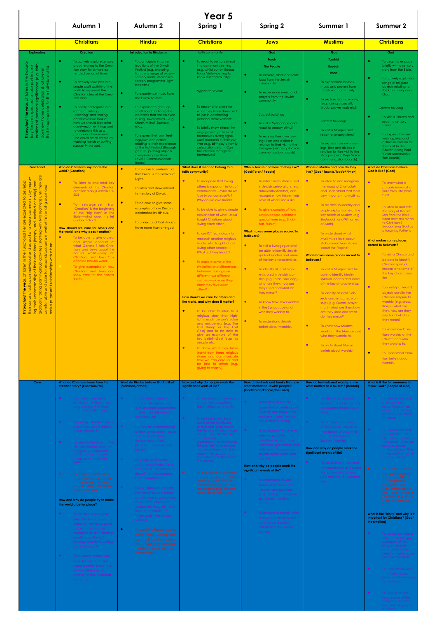|                                                                                                                                                                                                                                                                                                                                                                                                                                                                                                                                                              | Year 5                                                                                                                                                                                                                                                                                                                                                                                                                                                                                                                                                                                                                                                  |                                                                                                                                                                                                                                                                                                                                                                                                                                                                                                                                                                                                                                                                                                                                 |                                                                                                                                                                                                                                                                                                                                                                                                                                                                                                                                                                                                                                                                                                                                                                                                                                                                                                                                                                                                                                                                                                                                            |                                                                                                                                                                                                                                                                                                                                                                                                                                                                                                                                                                                                                                                                                                                                                                                                          |                                                                                                                                                                                                                                                                                                                                                                                                                                                                                                                                                                                                                                                                                                                                                                                                                                                                                                                    |                                                                                                                                                                                                                                                                                                                                                                                                                                                                                                                                                                                                                                                                                                                                                                                                                                                      |  |
|--------------------------------------------------------------------------------------------------------------------------------------------------------------------------------------------------------------------------------------------------------------------------------------------------------------------------------------------------------------------------------------------------------------------------------------------------------------------------------------------------------------------------------------------------------------|---------------------------------------------------------------------------------------------------------------------------------------------------------------------------------------------------------------------------------------------------------------------------------------------------------------------------------------------------------------------------------------------------------------------------------------------------------------------------------------------------------------------------------------------------------------------------------------------------------------------------------------------------------|---------------------------------------------------------------------------------------------------------------------------------------------------------------------------------------------------------------------------------------------------------------------------------------------------------------------------------------------------------------------------------------------------------------------------------------------------------------------------------------------------------------------------------------------------------------------------------------------------------------------------------------------------------------------------------------------------------------------------------|--------------------------------------------------------------------------------------------------------------------------------------------------------------------------------------------------------------------------------------------------------------------------------------------------------------------------------------------------------------------------------------------------------------------------------------------------------------------------------------------------------------------------------------------------------------------------------------------------------------------------------------------------------------------------------------------------------------------------------------------------------------------------------------------------------------------------------------------------------------------------------------------------------------------------------------------------------------------------------------------------------------------------------------------------------------------------------------------------------------------------------------------|----------------------------------------------------------------------------------------------------------------------------------------------------------------------------------------------------------------------------------------------------------------------------------------------------------------------------------------------------------------------------------------------------------------------------------------------------------------------------------------------------------------------------------------------------------------------------------------------------------------------------------------------------------------------------------------------------------------------------------------------------------------------------------------------------------|--------------------------------------------------------------------------------------------------------------------------------------------------------------------------------------------------------------------------------------------------------------------------------------------------------------------------------------------------------------------------------------------------------------------------------------------------------------------------------------------------------------------------------------------------------------------------------------------------------------------------------------------------------------------------------------------------------------------------------------------------------------------------------------------------------------------------------------------------------------------------------------------------------------------|------------------------------------------------------------------------------------------------------------------------------------------------------------------------------------------------------------------------------------------------------------------------------------------------------------------------------------------------------------------------------------------------------------------------------------------------------------------------------------------------------------------------------------------------------------------------------------------------------------------------------------------------------------------------------------------------------------------------------------------------------------------------------------------------------------------------------------------------------|--|
|                                                                                                                                                                                                                                                                                                                                                                                                                                                                                                                                                              | Autumn 1                                                                                                                                                                                                                                                                                                                                                                                                                                                                                                                                                                                                                                                | Autumn 2                                                                                                                                                                                                                                                                                                                                                                                                                                                                                                                                                                                                                                                                                                                        | Spring 1                                                                                                                                                                                                                                                                                                                                                                                                                                                                                                                                                                                                                                                                                                                                                                                                                                                                                                                                                                                                                                                                                                                                   | <b>Spring 2</b>                                                                                                                                                                                                                                                                                                                                                                                                                                                                                                                                                                                                                                                                                                                                                                                          | Summer 1                                                                                                                                                                                                                                                                                                                                                                                                                                                                                                                                                                                                                                                                                                                                                                                                                                                                                                           | <b>Summer 2</b>                                                                                                                                                                                                                                                                                                                                                                                                                                                                                                                                                                                                                                                                                                                                                                                                                                      |  |
|                                                                                                                                                                                                                                                                                                                                                                                                                                                                                                                                                              | <b>Christians</b>                                                                                                                                                                                                                                                                                                                                                                                                                                                                                                                                                                                                                                       | <b>Hindus</b>                                                                                                                                                                                                                                                                                                                                                                                                                                                                                                                                                                                                                                                                                                                   | <b>Christians</b>                                                                                                                                                                                                                                                                                                                                                                                                                                                                                                                                                                                                                                                                                                                                                                                                                                                                                                                                                                                                                                                                                                                          | <b>Jews</b>                                                                                                                                                                                                                                                                                                                                                                                                                                                                                                                                                                                                                                                                                                                                                                                              | <b>Muslims</b>                                                                                                                                                                                                                                                                                                                                                                                                                                                                                                                                                                                                                                                                                                                                                                                                                                                                                                     | <b>Christians</b>                                                                                                                                                                                                                                                                                                                                                                                                                                                                                                                                                                                                                                                                                                                                                                                                                                    |  |
| <b>Exploratory</b><br>ist<br>individual child<br>alevel<br>$\overline{\mathbb{e}}$<br>$\Phi$<br>ㅎ<br>lebrations),<br>the<br>$\mathfrak{Q}$<br>$\rm \tilde{\rm \Omega}$<br>ersonal<br>opriate<br>home<br>out the<br>$\overline{\Omega}$<br>ঁত<br>$\geq$<br>$\frac{1}{\sigma}$<br>ions<br>nguợn<br>.≌<br>that<br><b>Functional</b><br>are                                                                                                                                                                                                                      | <b>Creation</b><br>To actively explore sensory<br>props relating to the Crea-<br>tion story for a more ex-<br>tended period of time.<br>۰<br>To actively take part in a<br>simple craft activity of the<br>Earth to represent the<br>Christian idea of the Crea-<br>tion story.<br>۰<br>To briefly participate in a<br>range of 'tidying',<br>'cleaning' and 'caring'<br>activities as we look at<br>how we should look after<br>ourselves/other things and<br>to celebrate this as a<br>personal achievement<br>(this could be as simple as<br>washing hands or putting<br>rubbish in the bin).<br>Who do Christians say made the<br>world? [Creation] | <b>Introduction to Hinduism</b><br>To participate in some<br>traditions of the Diwali<br>Festival (e.g. exploring<br>lights in a range of ways-<br>sensory room, interactive<br>sensory programme, light<br>box etc.)<br>To experience music from<br>the Diwali Festival.<br>To experience (through<br>smell, touch or taste) the<br>delicates that are enjoyed<br>during DiwaliFestival-e.g.<br>Kheer, Mithai, Samosa<br>$etc.$ ).<br>To express their own feel-<br>ings/likes and dislikes<br>relating to their experience<br>of the Holi Festival (through<br>gesture, pushing objects<br>away/using the Blank<br>Level 1 Communication<br>Board)<br>$\bullet$<br>To be able to understand<br>that Diwali is the Festival of | <b>Faith community</b><br>۰<br>To react to sensory stimuli<br>in a community setting<br>(e.g. whilst out on Educa-<br>tional Visits-getting to<br>know our community).<br>Significant events<br>۰<br>To respond to praise for<br>what they have done and<br>to join in celebrating<br>personal achievements.<br>$\bullet$<br>To briefly show interest in/<br>engage with pictures of<br>themselves during signifi-<br>cant moments in their own<br>lives (e.g. birthday's, family<br>celebrations etc.) - Can<br>the children recognize<br>themselves?<br>What does it mean to belong to a<br>faith community?                                                                                                                                                                                                                                                                                                                                                                                                                                                                                                                             | God<br>Torah<br><b>The People</b><br>$\bullet$<br>To explore, smell and taste<br>food from the Jewish<br>community.<br>$\bullet$<br>To experience music and<br>prayers from the Jewish<br>community.<br>Sacred buildings<br>$\bullet$<br>To visit a Synagogue and<br>react to sensory stimuli.<br>$\bullet$<br>To express their own feel-<br>ings, likes and dislikes in<br>relation to their visit to the<br>Synogue (using Pupil Voice<br>communication boards).<br>Who is Jewish and how do they live?<br>[God/Torah/ People]                                                                                                                                                                                                                                                                         | God<br><b>Tawhid</b><br>Ibadah<br>Iman<br>To experience clothes,<br>music and prayers from<br>the Islamic community.<br>$\bullet$<br>To explore Islamic worship<br>(e.g. taking shoes off,<br>Wudu, prayer mats etc).<br><b>Sacred buildings</b><br>$\bullet$<br>To visit a Mosaue and<br>react to sensory stimuli.<br>$\bullet$<br>To express their own feel-<br>ings, likes and dislikes in<br>relation to their visit to the<br><b>Mosque (using Pupil Voice)</b><br>communication boards).<br>Who is a Muslim and how do they<br>live? [God/ Tawhid/ibadah/iman]                                                                                                                                                                                                                                                                                                                                               | God<br>$\bullet$<br>To begin to engage<br>briefly with a sensory<br>story from the Bible.<br>$\bullet$<br>To actively explore a<br>range of religious<br>objects relating to<br>the Christianity and<br>God.<br>Sacred building<br>$\bullet$<br>To visit a Church and<br>react to sensory<br>stimuli.<br>$\bullet$<br>To express their own<br>feelings, likes and<br>dislikes in relation to<br>their visit to the<br>Church (using Pupil<br>Voice communica-<br>tion boards).<br><b>What do Christians believe</b><br><b>God is like? [God]</b>                                                                                                                                                                                                                                                                                                     |  |
| improvi<br>Jand<br>evelop<br>'lonely) and<br>s) until they a<br>roups and<br>groups<br>ers)<br>$\overleftarrow{\mathrm{o}}$<br>ξ<br>small<br>be<br>$\overline{Q}$<br>thin<br>좋<br>$\overline{\overline{6}}$<br>Ğ,<br>ᅙ<br>$\phi$<br>coope<br>others.<br>activities<br>$\frac{5}{2}$<br>with<br>respond/<br>quo<br><b>relationships</b><br>টা<br>$\overline{Q}$<br>erstanding<br>$\Phi$<br>ᅙ<br>$\sigma$<br>and<br>purposeful<br>taking<br>£<br>gradually taki<br>comfortable o<br><b>Dund</b><br><b>Throughout</b><br>sense<br>their<br>make<br>their<br>gqi | $\bullet$<br>To listen to and retell key<br>elements of the Christian<br>creation story (Genesis 1:1-<br>2:3<br>$\bullet$<br>To recognise that<br>'Creation' is the beginning<br>of the 'big story' of the<br>Bible.—what does this tell<br>us about God?<br>How should we care for others and<br>the world, and why does it matter?<br>$\bullet$<br>To be able to give a clear<br>and simple account of<br>what Genesis 1 tells Chris-<br>tians and Jews about the<br>natural world.-why do<br>Christians and Jews look<br>after the natural world.<br>To give examples on how<br>Christians and Jews can<br>show care for the natural<br>earth.       | Lights.<br>$\bullet$<br>To listen and show interest<br>in the story of Diwali.<br>۰<br>To be able to give some<br>examples of how Diwali is<br>celebrated by Hindus.<br>$\bullet$<br>To understand that Hindu's<br>have more than one god.                                                                                                                                                                                                                                                                                                                                                                                                                                                                                      | $\bullet$<br>To recognise that loving<br>others is important in lots of<br>communities.- Who do we<br>love in our community?<br>Why do we love them?<br>$\bullet$<br>To be able to give a simple<br>explanation of what Jesus<br>taught Christians about<br>loving each other.<br>$\bullet$<br>To use ICT technology to<br>research another religious<br>leader who taught about<br>loving other people.-<br>What did they teach?<br>$\bullet$<br>To explore some of the<br>similarities and differences<br>between marriages in<br>different two different<br>cultures.-How do they<br>show they love each<br>other?<br>How should we care for others and<br>the world, and why does it matter?<br>$\bullet$<br>To be able to listen to a<br>religious story that high-<br>lights each person's value<br>and uniqueness (e.g. The<br>Lost Sheep or The Lost<br>Coin) and to be able to<br>give an example of the<br>key belief-God loves all<br>people etc.<br>$\bullet$<br>To show what they have<br>learnt from these religious<br>stories and communicate<br>how we can care for and<br>be kind to others (e.g.<br>giving to charity). | $\bullet$<br>To retell simple stories used<br>in Jewish celebrations (e.g.<br>Hanukkah/Shabbat) and<br>recognise how this reminds<br>Jews of what God is like.<br>$\bullet$<br>To give examples of how<br>Jewish people celebrate<br>special times (e.g. Shab-<br>bat, Sukkot).<br>What makes some places sacred to<br>believers?<br>$\bullet$<br>To visit a Synagogue and<br>be able to identify Jewish<br>spiritual leaders and some<br>of the key characteristics.<br>$\bullet$<br>To identify at least 3 ob-<br>jects used in Jewish wor-<br>ship (e.g. Torah, skull cap) -<br>what are they, how are<br>they used and what do<br>they mean?<br>$\bullet$<br>To know how Jews worship<br>in the Synagogue and<br>who they worship to.<br>$\bullet$<br>To understand Jewish<br>beliefs about worship. | $\bullet$<br>To listen to and recognise<br>the words of Shahadah<br>and understand that this is<br>very important to Muslims.<br>$\bullet$<br>To be able to identify and<br>simply explain some of the<br>key beliefs of Muslims (e.g.<br>Shahadah and 99 names<br>of Allah).<br>$\bullet$<br>To understand what<br>Musllims believe about<br>Muhammad from stories<br>about the Prophet.<br>What makes some places sacred to<br>believers?<br>$\bullet$<br>To visit a Mosque and be<br>able to identify Muslim<br>spiritual leaders and some<br>of the key characteristics.<br>$\bullet$<br>To identify at least 3 ob-<br>jects used in Islamic wor-<br>ships (e.g. Quran, prayer<br>mat) - what are they, how<br>are they used and what<br>do they mean?<br>$\bullet$<br>To know how Muslims<br>worship in the Mosque and<br>who they worship to.<br>$\bullet$<br>To understand Muslim<br>beliefs about worship. | $\bullet$<br>To know what a<br>parable is -- what is<br>your favourite para-<br><b>ble?</b><br>$\bullet$<br>To listen to and retell<br>the story of the Lost<br>Son from the Bible-<br>what does this mean<br>to Christians?<br>(recognising God as<br>a forgiving Father).<br><b>What makes some places</b><br>sacred to believers?<br>$\bullet$<br>To visit a Church and<br>be able to identify<br>Christian spiritual<br>leaders and some of<br>the key characteris-<br>tics.<br>$\bullet$<br>To identify at least 3<br>objects used in the<br>Christian religion to<br>worship (e.g. cross,<br>Bible) - what are<br>they, how are they<br>used and what do<br>they mean?<br>$\bullet$<br>To know how Chris-<br>tians worship at the<br>Church and who<br>they worship to.<br>$\bullet$<br>To understand Chris-<br>tian beliefs about<br>worship. |  |
| Core                                                                                                                                                                                                                                                                                                                                                                                                                                                                                                                                                         | What do Christians learn from the<br>creation story? [Creation/Fall]<br>To make a timeline to<br>represent the Bible's 'big<br>story' starting with God<br>and the Creation story.<br>To identify Christian beliefs<br>about God and Creation<br>(using Genesis 1).<br>To listen to the story of 'The<br>Fall' and understand that<br>this gives an explanation<br>to Christians about why<br>things go wrong in the<br>world.                                                                                                                                                                                                                          | What do Hindus believe God is like?<br>[Brahman/atman]<br>$\bullet$<br>To be able to identify<br>some Hindu deities and<br>give an simple explanation<br>of how they help Hindu's<br>describe God.<br>To show an understanding<br>of how some stories help to<br>explain what Hindu's<br>believe about God<br>(Svetaketu, Genesh and<br>Diwali).<br>To understand the im-<br>portance of Hindu murti's                                                                                                                                                                                                                                                                                                                          | How and why do people mark the<br>significant events of life?<br>$\bullet$<br>To understand the mean-<br>ing behind a baptism in<br>the Christian community.<br>$\bullet$<br>To be able to highlight<br>some of the significant<br>events and milestones in<br>the life of a Christian—can<br>we recall significant events<br>in our own lives<br>(Opportunity of children to<br>bring in their own pictures<br>and share these with their<br>peers while discussing<br>similarities and differences<br>in cultures).                                                                                                                                                                                                                                                                                                                                                                                                                                                                                                                                                                                                                      | How do festivals and family life show<br>what matters to Jewish people?<br>[God/Torah/People/the Land]<br>$\bullet$<br>To be able to identify<br>some Jewish beliefs about<br>God, sin and forgiveness<br>and give a brief descrip-<br>tion of their meaning.<br>$\bullet$<br>To understand what Jews<br>believe god is like and<br>how they express these<br>views through worship and<br>festivals (at home as well<br>as part of the wider com-<br>munity).<br>How and why do people mark the                                                                                                                                                                                                                                                                                                         | How do festivals and worship show<br>what matters to a Muslim? [Ibadah]<br>To listen to sections of<br>Surah 1 of the Qur'an and<br>recall some beliefs about<br>Allah.<br>To recognize and de-<br>scribe how Muslims show<br>their beliefs and commit-<br>ment to Allah through<br>ibadah (worship).<br>How and why do people mark the<br>significant events of life?<br>To be able to understand                                                                                                                                                                                                                                                                                                                                                                                                                                                                                                                 | What is it like for someone to<br>follow God? [People of God]<br>$\bullet$<br>To listen to the story<br>of Noah's Ark and<br>recall the promises<br>Noah and his family<br>made to God after<br>the flood.<br>To understand that<br>promises made to<br>God can be called a<br>'covenant'. Can you<br>recall anymore<br>covenants from Bible<br>stories you've heard<br>before? - Noah                                                                                                                                                                                                                                                                                                                                                                                                                                                               |  |

**How and why do people try to make the world a better place?**

- $\bullet$  To be able to recognize
- **CONTENT** To research people who

**CO** To participate in the cele-

To identify different ways in

**significant events of life?**

To understand Jewish

**C** To be able to explain what

**What is the 'Trinity' and why is it important for Christians? [God/ Incarnation]**

To recognize what a 'Gospel' is and give examples of the kinds of stories it contains—Can you select stories to make your own Gospel?

To understand what 'the Trinity' is and listen to texts referring to the Trinity.

To recognize the importance of the Trinity to Christians (e.g. role playing a baptism).